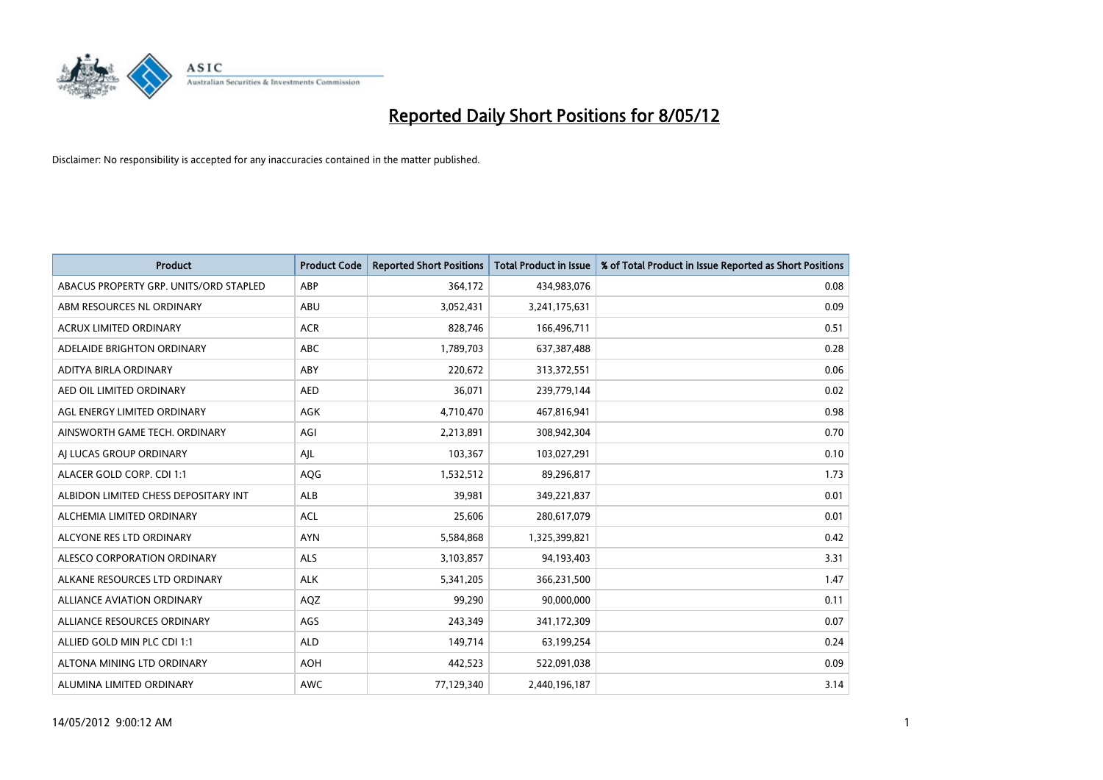

| <b>Product</b>                         | <b>Product Code</b> | <b>Reported Short Positions</b> | <b>Total Product in Issue</b> | % of Total Product in Issue Reported as Short Positions |
|----------------------------------------|---------------------|---------------------------------|-------------------------------|---------------------------------------------------------|
| ABACUS PROPERTY GRP. UNITS/ORD STAPLED | ABP                 | 364,172                         | 434,983,076                   | 0.08                                                    |
| ABM RESOURCES NL ORDINARY              | ABU                 | 3,052,431                       | 3,241,175,631                 | 0.09                                                    |
| <b>ACRUX LIMITED ORDINARY</b>          | <b>ACR</b>          | 828,746                         | 166,496,711                   | 0.51                                                    |
| ADELAIDE BRIGHTON ORDINARY             | <b>ABC</b>          | 1,789,703                       | 637,387,488                   | 0.28                                                    |
| ADITYA BIRLA ORDINARY                  | ABY                 | 220,672                         | 313,372,551                   | 0.06                                                    |
| AED OIL LIMITED ORDINARY               | <b>AED</b>          | 36,071                          | 239,779,144                   | 0.02                                                    |
| AGL ENERGY LIMITED ORDINARY            | AGK                 | 4,710,470                       | 467,816,941                   | 0.98                                                    |
| AINSWORTH GAME TECH. ORDINARY          | AGI                 | 2,213,891                       | 308,942,304                   | 0.70                                                    |
| AI LUCAS GROUP ORDINARY                | AJL                 | 103,367                         | 103,027,291                   | 0.10                                                    |
| ALACER GOLD CORP. CDI 1:1              | AQG                 | 1,532,512                       | 89,296,817                    | 1.73                                                    |
| ALBIDON LIMITED CHESS DEPOSITARY INT   | ALB                 | 39,981                          | 349,221,837                   | 0.01                                                    |
| ALCHEMIA LIMITED ORDINARY              | <b>ACL</b>          | 25,606                          | 280,617,079                   | 0.01                                                    |
| ALCYONE RES LTD ORDINARY               | <b>AYN</b>          | 5,584,868                       | 1,325,399,821                 | 0.42                                                    |
| ALESCO CORPORATION ORDINARY            | ALS                 | 3,103,857                       | 94,193,403                    | 3.31                                                    |
| ALKANE RESOURCES LTD ORDINARY          | <b>ALK</b>          | 5,341,205                       | 366,231,500                   | 1.47                                                    |
| ALLIANCE AVIATION ORDINARY             | AQZ                 | 99,290                          | 90,000,000                    | 0.11                                                    |
| ALLIANCE RESOURCES ORDINARY            | AGS                 | 243,349                         | 341,172,309                   | 0.07                                                    |
| ALLIED GOLD MIN PLC CDI 1:1            | <b>ALD</b>          | 149,714                         | 63,199,254                    | 0.24                                                    |
| ALTONA MINING LTD ORDINARY             | <b>AOH</b>          | 442,523                         | 522,091,038                   | 0.09                                                    |
| ALUMINA LIMITED ORDINARY               | <b>AWC</b>          | 77,129,340                      | 2,440,196,187                 | 3.14                                                    |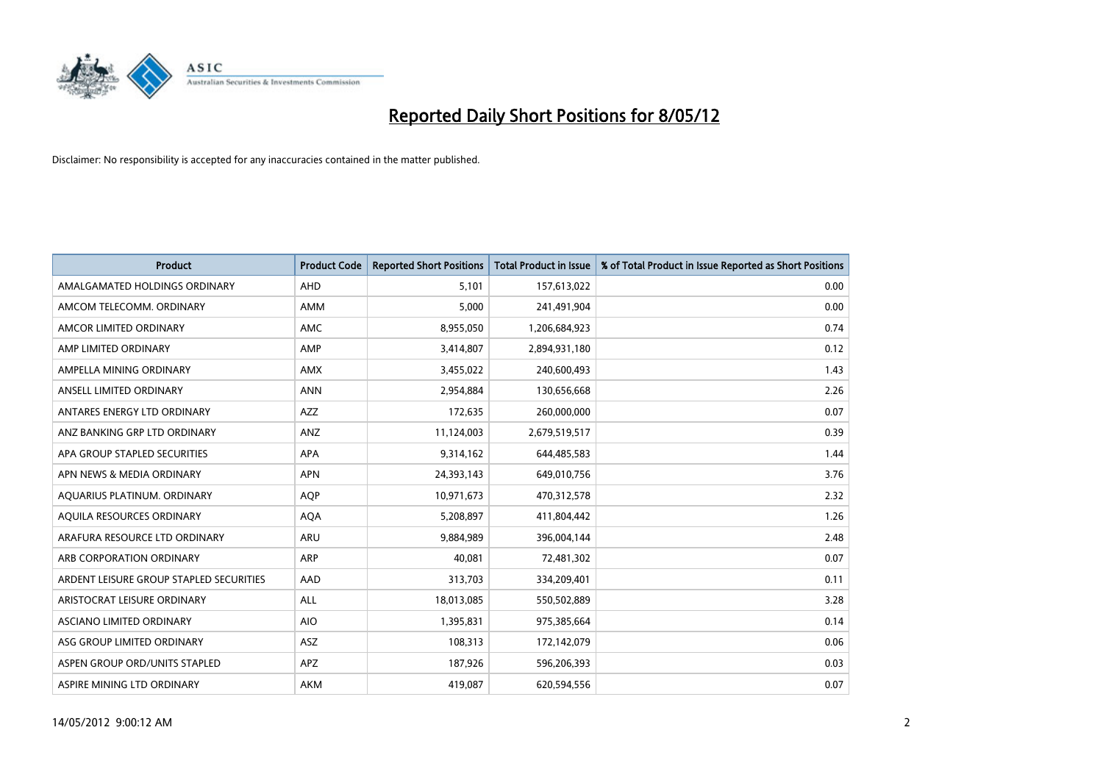

| <b>Product</b>                          | <b>Product Code</b> | <b>Reported Short Positions</b> | <b>Total Product in Issue</b> | % of Total Product in Issue Reported as Short Positions |
|-----------------------------------------|---------------------|---------------------------------|-------------------------------|---------------------------------------------------------|
| AMALGAMATED HOLDINGS ORDINARY           | AHD                 | 5,101                           | 157,613,022                   | 0.00                                                    |
| AMCOM TELECOMM. ORDINARY                | AMM                 | 5,000                           | 241,491,904                   | 0.00                                                    |
| AMCOR LIMITED ORDINARY                  | AMC                 | 8,955,050                       | 1,206,684,923                 | 0.74                                                    |
| AMP LIMITED ORDINARY                    | AMP                 | 3,414,807                       | 2,894,931,180                 | 0.12                                                    |
| AMPELLA MINING ORDINARY                 | <b>AMX</b>          | 3,455,022                       | 240,600,493                   | 1.43                                                    |
| ANSELL LIMITED ORDINARY                 | <b>ANN</b>          | 2,954,884                       | 130,656,668                   | 2.26                                                    |
| ANTARES ENERGY LTD ORDINARY             | AZZ                 | 172,635                         | 260,000,000                   | 0.07                                                    |
| ANZ BANKING GRP LTD ORDINARY            | ANZ                 | 11,124,003                      | 2,679,519,517                 | 0.39                                                    |
| APA GROUP STAPLED SECURITIES            | <b>APA</b>          | 9,314,162                       | 644,485,583                   | 1.44                                                    |
| APN NEWS & MEDIA ORDINARY               | <b>APN</b>          | 24,393,143                      | 649,010,756                   | 3.76                                                    |
| AQUARIUS PLATINUM. ORDINARY             | <b>AOP</b>          | 10,971,673                      | 470,312,578                   | 2.32                                                    |
| AQUILA RESOURCES ORDINARY               | <b>AQA</b>          | 5,208,897                       | 411,804,442                   | 1.26                                                    |
| ARAFURA RESOURCE LTD ORDINARY           | ARU                 | 9,884,989                       | 396,004,144                   | 2.48                                                    |
| ARB CORPORATION ORDINARY                | ARP                 | 40,081                          | 72,481,302                    | 0.07                                                    |
| ARDENT LEISURE GROUP STAPLED SECURITIES | AAD                 | 313,703                         | 334,209,401                   | 0.11                                                    |
| ARISTOCRAT LEISURE ORDINARY             | ALL                 | 18,013,085                      | 550,502,889                   | 3.28                                                    |
| ASCIANO LIMITED ORDINARY                | <b>AIO</b>          | 1,395,831                       | 975,385,664                   | 0.14                                                    |
| ASG GROUP LIMITED ORDINARY              | ASZ                 | 108,313                         | 172,142,079                   | 0.06                                                    |
| ASPEN GROUP ORD/UNITS STAPLED           | <b>APZ</b>          | 187,926                         | 596,206,393                   | 0.03                                                    |
| ASPIRE MINING LTD ORDINARY              | AKM                 | 419,087                         | 620,594,556                   | 0.07                                                    |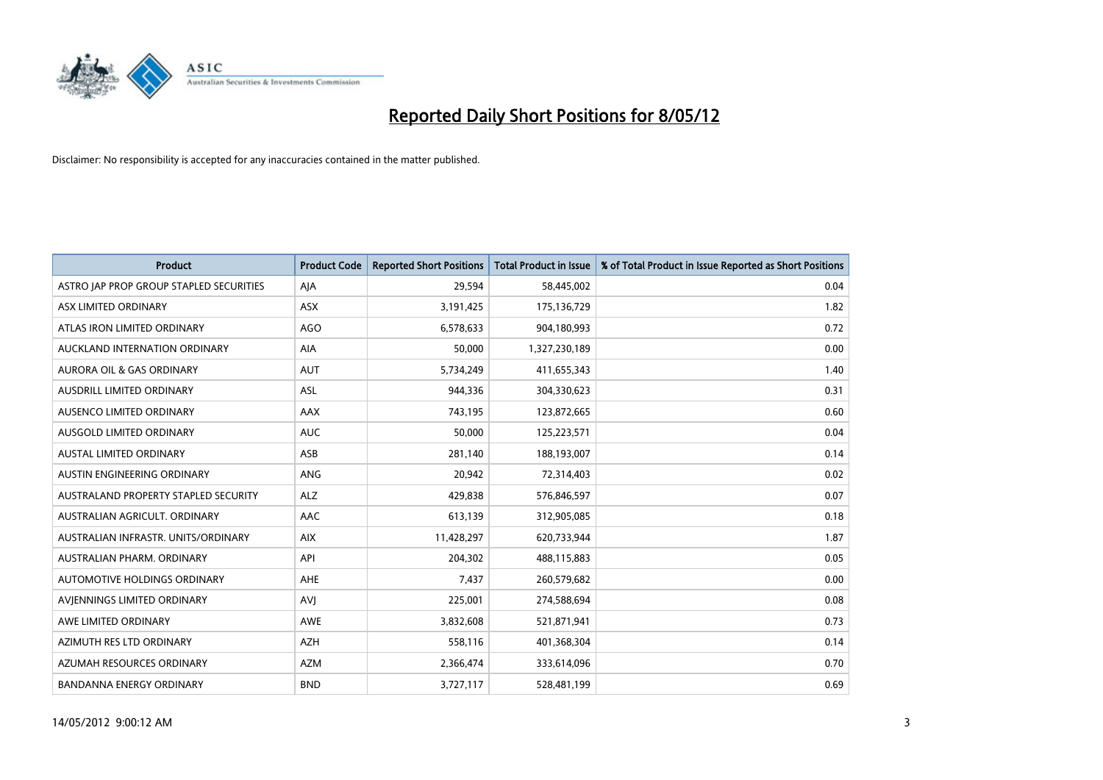

| <b>Product</b>                          | <b>Product Code</b> | <b>Reported Short Positions</b> | <b>Total Product in Issue</b> | % of Total Product in Issue Reported as Short Positions |
|-----------------------------------------|---------------------|---------------------------------|-------------------------------|---------------------------------------------------------|
| ASTRO JAP PROP GROUP STAPLED SECURITIES | AJA                 | 29,594                          | 58,445,002                    | 0.04                                                    |
| ASX LIMITED ORDINARY                    | ASX                 | 3,191,425                       | 175,136,729                   | 1.82                                                    |
| ATLAS IRON LIMITED ORDINARY             | <b>AGO</b>          | 6,578,633                       | 904,180,993                   | 0.72                                                    |
| AUCKLAND INTERNATION ORDINARY           | AIA                 | 50,000                          | 1,327,230,189                 | 0.00                                                    |
| <b>AURORA OIL &amp; GAS ORDINARY</b>    | AUT                 | 5,734,249                       | 411,655,343                   | 1.40                                                    |
| AUSDRILL LIMITED ORDINARY               | <b>ASL</b>          | 944,336                         | 304,330,623                   | 0.31                                                    |
| AUSENCO LIMITED ORDINARY                | AAX                 | 743,195                         | 123,872,665                   | 0.60                                                    |
| AUSGOLD LIMITED ORDINARY                | <b>AUC</b>          | 50,000                          | 125,223,571                   | 0.04                                                    |
| <b>AUSTAL LIMITED ORDINARY</b>          | ASB                 | 281,140                         | 188,193,007                   | 0.14                                                    |
| AUSTIN ENGINEERING ORDINARY             | ANG                 | 20,942                          | 72,314,403                    | 0.02                                                    |
| AUSTRALAND PROPERTY STAPLED SECURITY    | <b>ALZ</b>          | 429,838                         | 576,846,597                   | 0.07                                                    |
| AUSTRALIAN AGRICULT, ORDINARY           | AAC                 | 613,139                         | 312,905,085                   | 0.18                                                    |
| AUSTRALIAN INFRASTR. UNITS/ORDINARY     | <b>AIX</b>          | 11,428,297                      | 620,733,944                   | 1.87                                                    |
| AUSTRALIAN PHARM, ORDINARY              | API                 | 204,302                         | 488,115,883                   | 0.05                                                    |
| <b>AUTOMOTIVE HOLDINGS ORDINARY</b>     | <b>AHE</b>          | 7,437                           | 260,579,682                   | 0.00                                                    |
| AVIENNINGS LIMITED ORDINARY             | <b>AVI</b>          | 225,001                         | 274,588,694                   | 0.08                                                    |
| AWE LIMITED ORDINARY                    | AWE                 | 3,832,608                       | 521,871,941                   | 0.73                                                    |
| AZIMUTH RES LTD ORDINARY                | <b>AZH</b>          | 558,116                         | 401,368,304                   | 0.14                                                    |
| AZUMAH RESOURCES ORDINARY               | <b>AZM</b>          | 2,366,474                       | 333,614,096                   | 0.70                                                    |
| BANDANNA ENERGY ORDINARY                | <b>BND</b>          | 3,727,117                       | 528,481,199                   | 0.69                                                    |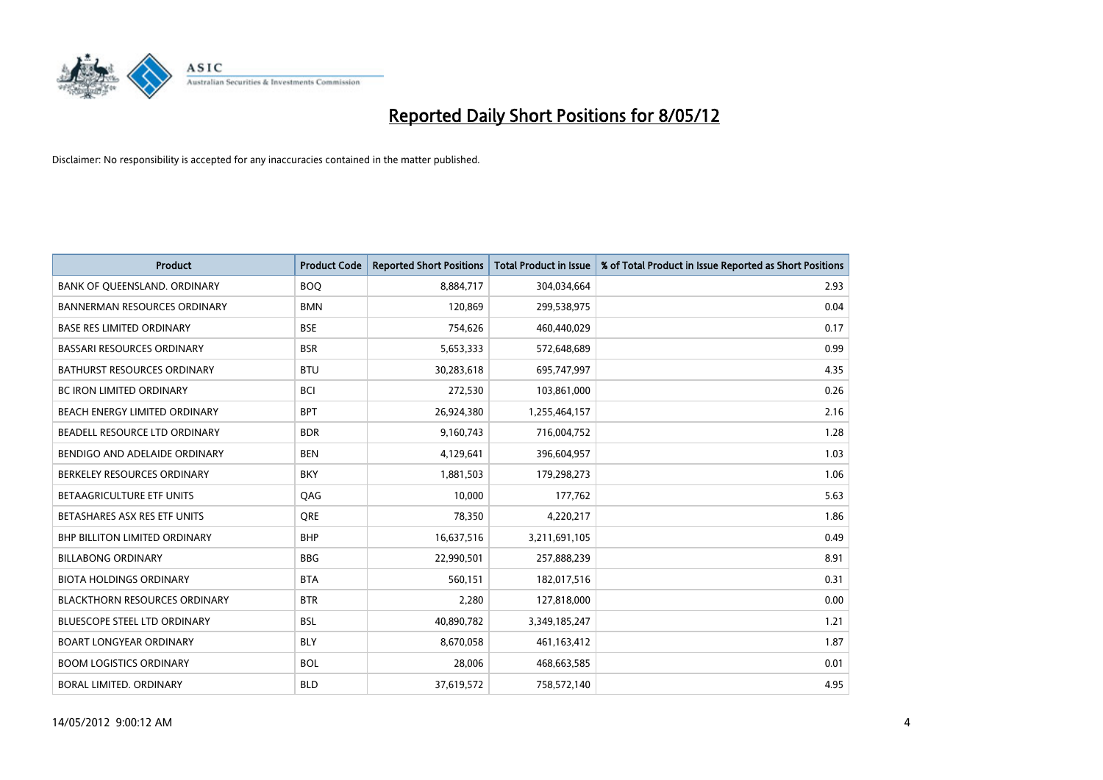

| <b>Product</b>                       | <b>Product Code</b> | <b>Reported Short Positions</b> | <b>Total Product in Issue</b> | % of Total Product in Issue Reported as Short Positions |
|--------------------------------------|---------------------|---------------------------------|-------------------------------|---------------------------------------------------------|
| BANK OF QUEENSLAND. ORDINARY         | <b>BOQ</b>          | 8,884,717                       | 304,034,664                   | 2.93                                                    |
| <b>BANNERMAN RESOURCES ORDINARY</b>  | <b>BMN</b>          | 120,869                         | 299,538,975                   | 0.04                                                    |
| <b>BASE RES LIMITED ORDINARY</b>     | <b>BSE</b>          | 754,626                         | 460,440,029                   | 0.17                                                    |
| BASSARI RESOURCES ORDINARY           | <b>BSR</b>          | 5,653,333                       | 572,648,689                   | 0.99                                                    |
| <b>BATHURST RESOURCES ORDINARY</b>   | <b>BTU</b>          | 30,283,618                      | 695,747,997                   | 4.35                                                    |
| <b>BC IRON LIMITED ORDINARY</b>      | <b>BCI</b>          | 272,530                         | 103,861,000                   | 0.26                                                    |
| BEACH ENERGY LIMITED ORDINARY        | <b>BPT</b>          | 26,924,380                      | 1,255,464,157                 | 2.16                                                    |
| BEADELL RESOURCE LTD ORDINARY        | <b>BDR</b>          | 9,160,743                       | 716,004,752                   | 1.28                                                    |
| BENDIGO AND ADELAIDE ORDINARY        | <b>BEN</b>          | 4,129,641                       | 396,604,957                   | 1.03                                                    |
| BERKELEY RESOURCES ORDINARY          | <b>BKY</b>          | 1,881,503                       | 179,298,273                   | 1.06                                                    |
| BETAAGRICULTURE ETF UNITS            | QAG                 | 10,000                          | 177,762                       | 5.63                                                    |
| BETASHARES ASX RES ETF UNITS         | <b>ORE</b>          | 78,350                          | 4,220,217                     | 1.86                                                    |
| <b>BHP BILLITON LIMITED ORDINARY</b> | <b>BHP</b>          | 16,637,516                      | 3,211,691,105                 | 0.49                                                    |
| <b>BILLABONG ORDINARY</b>            | <b>BBG</b>          | 22,990,501                      | 257,888,239                   | 8.91                                                    |
| <b>BIOTA HOLDINGS ORDINARY</b>       | <b>BTA</b>          | 560,151                         | 182,017,516                   | 0.31                                                    |
| <b>BLACKTHORN RESOURCES ORDINARY</b> | <b>BTR</b>          | 2,280                           | 127,818,000                   | 0.00                                                    |
| <b>BLUESCOPE STEEL LTD ORDINARY</b>  | <b>BSL</b>          | 40,890,782                      | 3,349,185,247                 | 1.21                                                    |
| BOART LONGYEAR ORDINARY              | <b>BLY</b>          | 8,670,058                       | 461,163,412                   | 1.87                                                    |
| <b>BOOM LOGISTICS ORDINARY</b>       | <b>BOL</b>          | 28,006                          | 468,663,585                   | 0.01                                                    |
| BORAL LIMITED, ORDINARY              | <b>BLD</b>          | 37,619,572                      | 758,572,140                   | 4.95                                                    |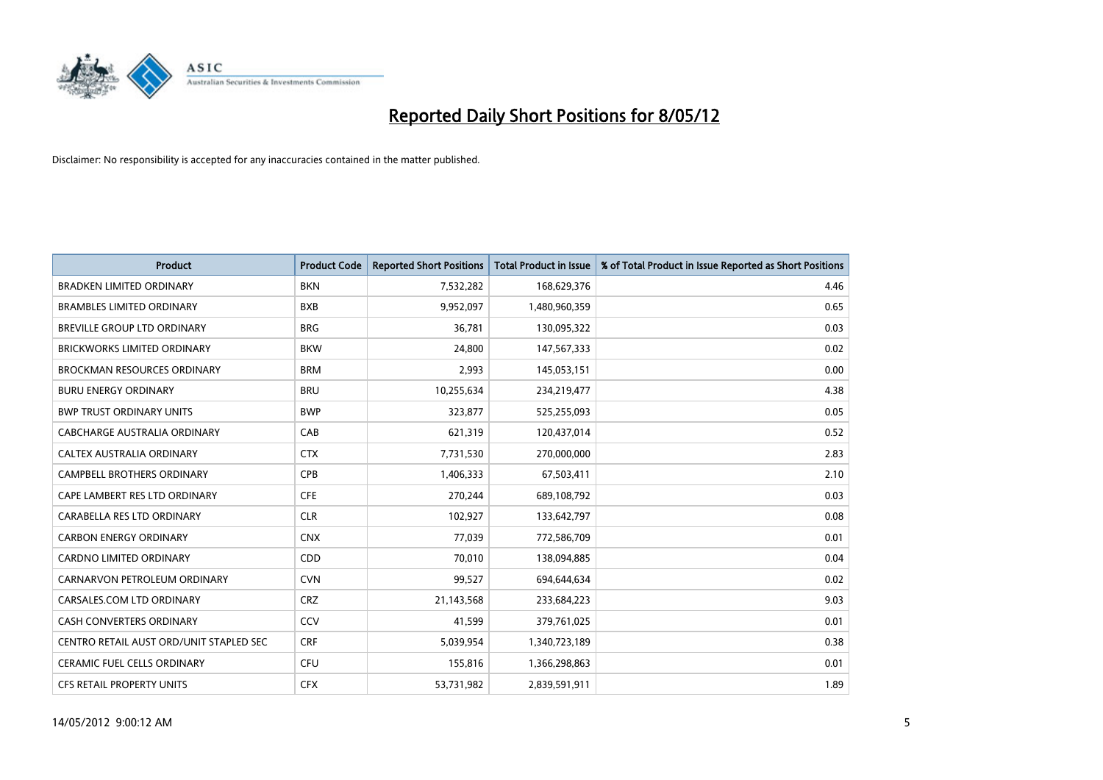

| <b>Product</b>                          | <b>Product Code</b> | <b>Reported Short Positions</b> | <b>Total Product in Issue</b> | % of Total Product in Issue Reported as Short Positions |
|-----------------------------------------|---------------------|---------------------------------|-------------------------------|---------------------------------------------------------|
| <b>BRADKEN LIMITED ORDINARY</b>         | <b>BKN</b>          | 7,532,282                       | 168,629,376                   | 4.46                                                    |
| <b>BRAMBLES LIMITED ORDINARY</b>        | <b>BXB</b>          | 9,952,097                       | 1,480,960,359                 | 0.65                                                    |
| <b>BREVILLE GROUP LTD ORDINARY</b>      | <b>BRG</b>          | 36,781                          | 130,095,322                   | 0.03                                                    |
| BRICKWORKS LIMITED ORDINARY             | <b>BKW</b>          | 24,800                          | 147,567,333                   | 0.02                                                    |
| <b>BROCKMAN RESOURCES ORDINARY</b>      | <b>BRM</b>          | 2,993                           | 145,053,151                   | 0.00                                                    |
| <b>BURU ENERGY ORDINARY</b>             | <b>BRU</b>          | 10,255,634                      | 234,219,477                   | 4.38                                                    |
| <b>BWP TRUST ORDINARY UNITS</b>         | <b>BWP</b>          | 323,877                         | 525,255,093                   | 0.05                                                    |
| <b>CABCHARGE AUSTRALIA ORDINARY</b>     | CAB                 | 621,319                         | 120,437,014                   | 0.52                                                    |
| CALTEX AUSTRALIA ORDINARY               | <b>CTX</b>          | 7,731,530                       | 270,000,000                   | 2.83                                                    |
| <b>CAMPBELL BROTHERS ORDINARY</b>       | <b>CPB</b>          | 1,406,333                       | 67,503,411                    | 2.10                                                    |
| CAPE LAMBERT RES LTD ORDINARY           | <b>CFE</b>          | 270,244                         | 689,108,792                   | 0.03                                                    |
| CARABELLA RES LTD ORDINARY              | <b>CLR</b>          | 102,927                         | 133,642,797                   | 0.08                                                    |
| <b>CARBON ENERGY ORDINARY</b>           | <b>CNX</b>          | 77,039                          | 772,586,709                   | 0.01                                                    |
| <b>CARDNO LIMITED ORDINARY</b>          | CDD                 | 70.010                          | 138,094,885                   | 0.04                                                    |
| CARNARVON PETROLEUM ORDINARY            | <b>CVN</b>          | 99,527                          | 694,644,634                   | 0.02                                                    |
| CARSALES.COM LTD ORDINARY               | <b>CRZ</b>          | 21,143,568                      | 233,684,223                   | 9.03                                                    |
| <b>CASH CONVERTERS ORDINARY</b>         | CCV                 | 41,599                          | 379,761,025                   | 0.01                                                    |
| CENTRO RETAIL AUST ORD/UNIT STAPLED SEC | <b>CRF</b>          | 5,039,954                       | 1,340,723,189                 | 0.38                                                    |
| <b>CERAMIC FUEL CELLS ORDINARY</b>      | <b>CFU</b>          | 155,816                         | 1,366,298,863                 | 0.01                                                    |
| <b>CFS RETAIL PROPERTY UNITS</b>        | <b>CFX</b>          | 53,731,982                      | 2,839,591,911                 | 1.89                                                    |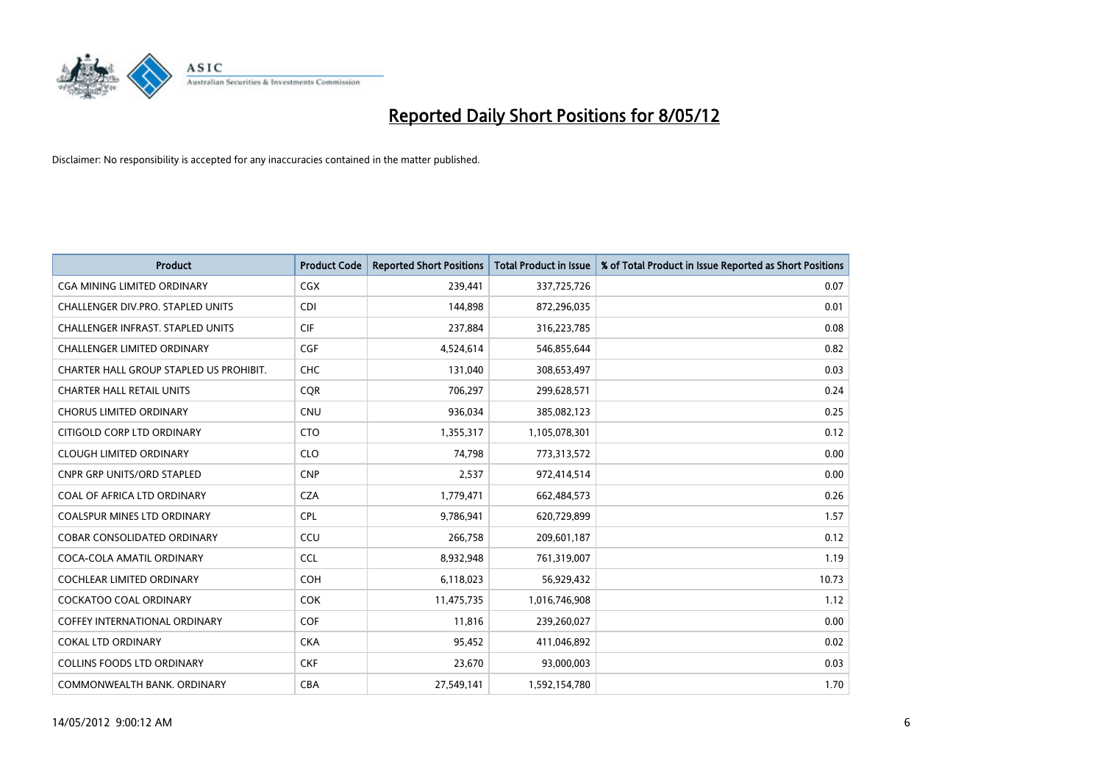

| <b>Product</b>                           | <b>Product Code</b> | <b>Reported Short Positions</b> | <b>Total Product in Issue</b> | % of Total Product in Issue Reported as Short Positions |
|------------------------------------------|---------------------|---------------------------------|-------------------------------|---------------------------------------------------------|
| <b>CGA MINING LIMITED ORDINARY</b>       | CGX                 | 239,441                         | 337,725,726                   | 0.07                                                    |
| CHALLENGER DIV.PRO. STAPLED UNITS        | <b>CDI</b>          | 144,898                         | 872,296,035                   | 0.01                                                    |
| <b>CHALLENGER INFRAST, STAPLED UNITS</b> | <b>CIF</b>          | 237,884                         | 316,223,785                   | 0.08                                                    |
| CHALLENGER LIMITED ORDINARY              | <b>CGF</b>          | 4,524,614                       | 546,855,644                   | 0.82                                                    |
| CHARTER HALL GROUP STAPLED US PROHIBIT.  | <b>CHC</b>          | 131,040                         | 308,653,497                   | 0.03                                                    |
| <b>CHARTER HALL RETAIL UNITS</b>         | <b>CQR</b>          | 706,297                         | 299,628,571                   | 0.24                                                    |
| <b>CHORUS LIMITED ORDINARY</b>           | <b>CNU</b>          | 936,034                         | 385,082,123                   | 0.25                                                    |
| CITIGOLD CORP LTD ORDINARY               | <b>CTO</b>          | 1,355,317                       | 1,105,078,301                 | 0.12                                                    |
| <b>CLOUGH LIMITED ORDINARY</b>           | <b>CLO</b>          | 74,798                          | 773,313,572                   | 0.00                                                    |
| <b>CNPR GRP UNITS/ORD STAPLED</b>        | <b>CNP</b>          | 2,537                           | 972,414,514                   | 0.00                                                    |
| COAL OF AFRICA LTD ORDINARY              | <b>CZA</b>          | 1,779,471                       | 662,484,573                   | 0.26                                                    |
| <b>COALSPUR MINES LTD ORDINARY</b>       | <b>CPL</b>          | 9,786,941                       | 620,729,899                   | 1.57                                                    |
| <b>COBAR CONSOLIDATED ORDINARY</b>       | CCU                 | 266,758                         | 209,601,187                   | 0.12                                                    |
| COCA-COLA AMATIL ORDINARY                | <b>CCL</b>          | 8,932,948                       | 761,319,007                   | 1.19                                                    |
| COCHLEAR LIMITED ORDINARY                | <b>COH</b>          | 6,118,023                       | 56,929,432                    | 10.73                                                   |
| <b>COCKATOO COAL ORDINARY</b>            | <b>COK</b>          | 11,475,735                      | 1,016,746,908                 | 1.12                                                    |
| <b>COFFEY INTERNATIONAL ORDINARY</b>     | <b>COF</b>          | 11,816                          | 239,260,027                   | 0.00                                                    |
| <b>COKAL LTD ORDINARY</b>                | <b>CKA</b>          | 95,452                          | 411,046,892                   | 0.02                                                    |
| <b>COLLINS FOODS LTD ORDINARY</b>        | <b>CKF</b>          | 23,670                          | 93,000,003                    | 0.03                                                    |
| COMMONWEALTH BANK, ORDINARY              | <b>CBA</b>          | 27,549,141                      | 1,592,154,780                 | 1.70                                                    |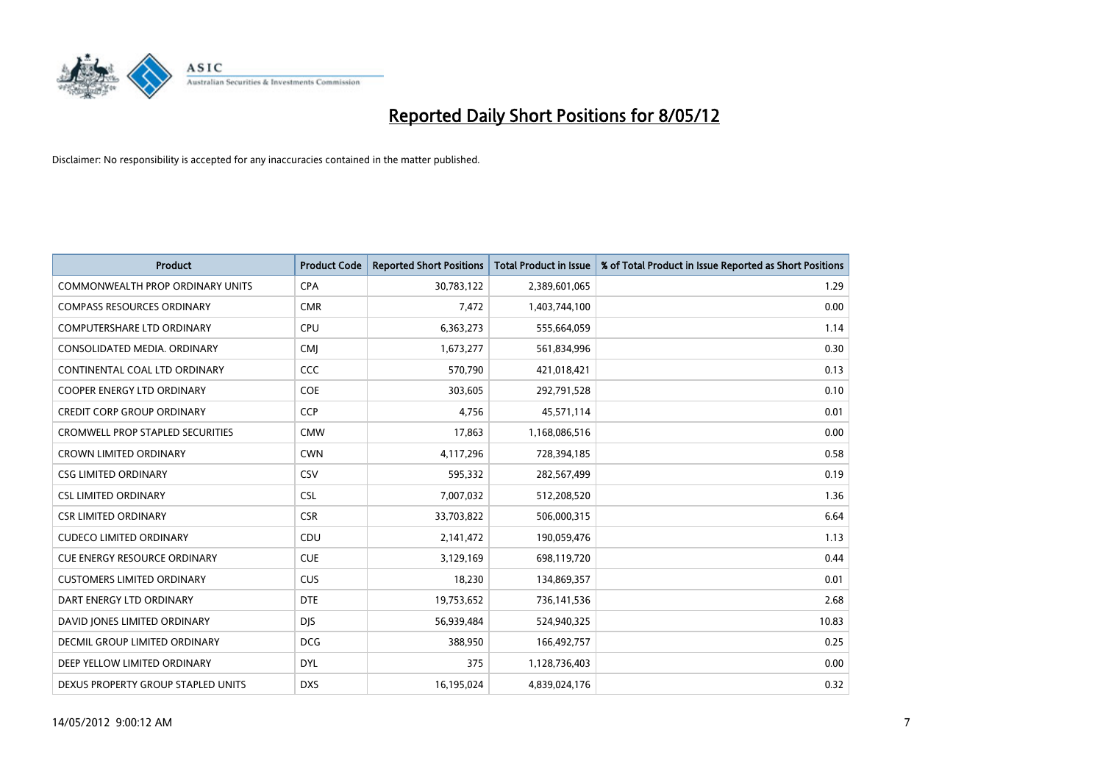

| <b>Product</b>                          | <b>Product Code</b> | <b>Reported Short Positions</b> | <b>Total Product in Issue</b> | % of Total Product in Issue Reported as Short Positions |
|-----------------------------------------|---------------------|---------------------------------|-------------------------------|---------------------------------------------------------|
| <b>COMMONWEALTH PROP ORDINARY UNITS</b> | <b>CPA</b>          | 30,783,122                      | 2,389,601,065                 | 1.29                                                    |
| <b>COMPASS RESOURCES ORDINARY</b>       | <b>CMR</b>          | 7,472                           | 1,403,744,100                 | 0.00                                                    |
| <b>COMPUTERSHARE LTD ORDINARY</b>       | <b>CPU</b>          | 6,363,273                       | 555,664,059                   | 1.14                                                    |
| CONSOLIDATED MEDIA. ORDINARY            | <b>CMJ</b>          | 1,673,277                       | 561,834,996                   | 0.30                                                    |
| CONTINENTAL COAL LTD ORDINARY           | CCC                 | 570,790                         | 421,018,421                   | 0.13                                                    |
| <b>COOPER ENERGY LTD ORDINARY</b>       | <b>COE</b>          | 303,605                         | 292,791,528                   | 0.10                                                    |
| <b>CREDIT CORP GROUP ORDINARY</b>       | <b>CCP</b>          | 4,756                           | 45,571,114                    | 0.01                                                    |
| <b>CROMWELL PROP STAPLED SECURITIES</b> | <b>CMW</b>          | 17,863                          | 1,168,086,516                 | 0.00                                                    |
| <b>CROWN LIMITED ORDINARY</b>           | <b>CWN</b>          | 4,117,296                       | 728,394,185                   | 0.58                                                    |
| <b>CSG LIMITED ORDINARY</b>             | CSV                 | 595,332                         | 282,567,499                   | 0.19                                                    |
| <b>CSL LIMITED ORDINARY</b>             | <b>CSL</b>          | 7,007,032                       | 512,208,520                   | 1.36                                                    |
| <b>CSR LIMITED ORDINARY</b>             | <b>CSR</b>          | 33,703,822                      | 506,000,315                   | 6.64                                                    |
| <b>CUDECO LIMITED ORDINARY</b>          | CDU                 | 2,141,472                       | 190,059,476                   | 1.13                                                    |
| <b>CUE ENERGY RESOURCE ORDINARY</b>     | <b>CUE</b>          | 3,129,169                       | 698,119,720                   | 0.44                                                    |
| <b>CUSTOMERS LIMITED ORDINARY</b>       | <b>CUS</b>          | 18,230                          | 134,869,357                   | 0.01                                                    |
| DART ENERGY LTD ORDINARY                | <b>DTE</b>          | 19,753,652                      | 736,141,536                   | 2.68                                                    |
| DAVID JONES LIMITED ORDINARY            | <b>DJS</b>          | 56,939,484                      | 524,940,325                   | 10.83                                                   |
| <b>DECMIL GROUP LIMITED ORDINARY</b>    | <b>DCG</b>          | 388,950                         | 166,492,757                   | 0.25                                                    |
| DEEP YELLOW LIMITED ORDINARY            | <b>DYL</b>          | 375                             | 1,128,736,403                 | 0.00                                                    |
| DEXUS PROPERTY GROUP STAPLED UNITS      | <b>DXS</b>          | 16,195,024                      | 4,839,024,176                 | 0.32                                                    |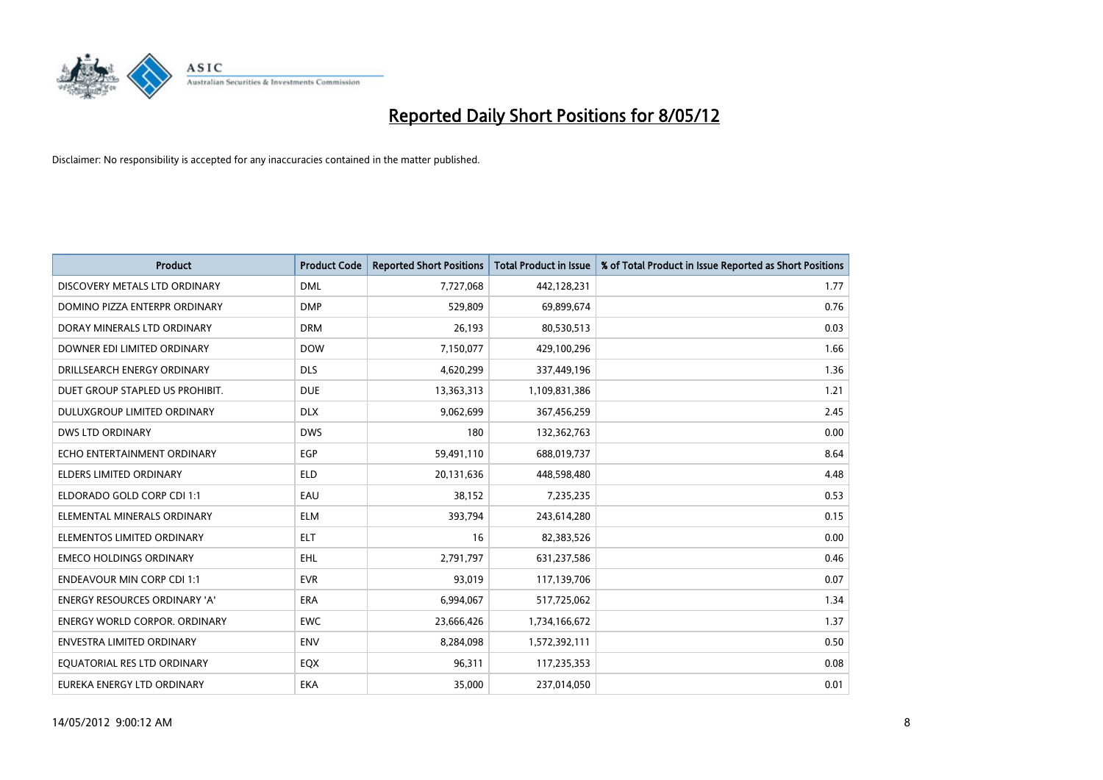

| <b>Product</b>                       | <b>Product Code</b> | <b>Reported Short Positions</b> | <b>Total Product in Issue</b> | % of Total Product in Issue Reported as Short Positions |
|--------------------------------------|---------------------|---------------------------------|-------------------------------|---------------------------------------------------------|
| DISCOVERY METALS LTD ORDINARY        | <b>DML</b>          | 7,727,068                       | 442,128,231                   | 1.77                                                    |
| DOMINO PIZZA ENTERPR ORDINARY        | <b>DMP</b>          | 529,809                         | 69,899,674                    | 0.76                                                    |
| DORAY MINERALS LTD ORDINARY          | <b>DRM</b>          | 26,193                          | 80,530,513                    | 0.03                                                    |
| DOWNER EDI LIMITED ORDINARY          | <b>DOW</b>          | 7,150,077                       | 429,100,296                   | 1.66                                                    |
| DRILLSEARCH ENERGY ORDINARY          | <b>DLS</b>          | 4,620,299                       | 337,449,196                   | 1.36                                                    |
| DUET GROUP STAPLED US PROHIBIT.      | <b>DUE</b>          | 13,363,313                      | 1,109,831,386                 | 1.21                                                    |
| DULUXGROUP LIMITED ORDINARY          | <b>DLX</b>          | 9,062,699                       | 367,456,259                   | 2.45                                                    |
| <b>DWS LTD ORDINARY</b>              | <b>DWS</b>          | 180                             | 132,362,763                   | 0.00                                                    |
| ECHO ENTERTAINMENT ORDINARY          | <b>EGP</b>          | 59,491,110                      | 688,019,737                   | 8.64                                                    |
| ELDERS LIMITED ORDINARY              | <b>ELD</b>          | 20,131,636                      | 448,598,480                   | 4.48                                                    |
| ELDORADO GOLD CORP CDI 1:1           | EAU                 | 38,152                          | 7,235,235                     | 0.53                                                    |
| ELEMENTAL MINERALS ORDINARY          | <b>ELM</b>          | 393,794                         | 243,614,280                   | 0.15                                                    |
| ELEMENTOS LIMITED ORDINARY           | ELT                 | 16                              | 82,383,526                    | 0.00                                                    |
| <b>EMECO HOLDINGS ORDINARY</b>       | <b>EHL</b>          | 2,791,797                       | 631,237,586                   | 0.46                                                    |
| <b>ENDEAVOUR MIN CORP CDI 1:1</b>    | <b>EVR</b>          | 93,019                          | 117,139,706                   | 0.07                                                    |
| ENERGY RESOURCES ORDINARY 'A'        | ERA                 | 6,994,067                       | 517,725,062                   | 1.34                                                    |
| <b>ENERGY WORLD CORPOR, ORDINARY</b> | <b>EWC</b>          | 23,666,426                      | 1,734,166,672                 | 1.37                                                    |
| <b>ENVESTRA LIMITED ORDINARY</b>     | <b>ENV</b>          | 8,284,098                       | 1,572,392,111                 | 0.50                                                    |
| EQUATORIAL RES LTD ORDINARY          | EQX                 | 96,311                          | 117,235,353                   | 0.08                                                    |
| EUREKA ENERGY LTD ORDINARY           | EKA                 | 35.000                          | 237,014,050                   | 0.01                                                    |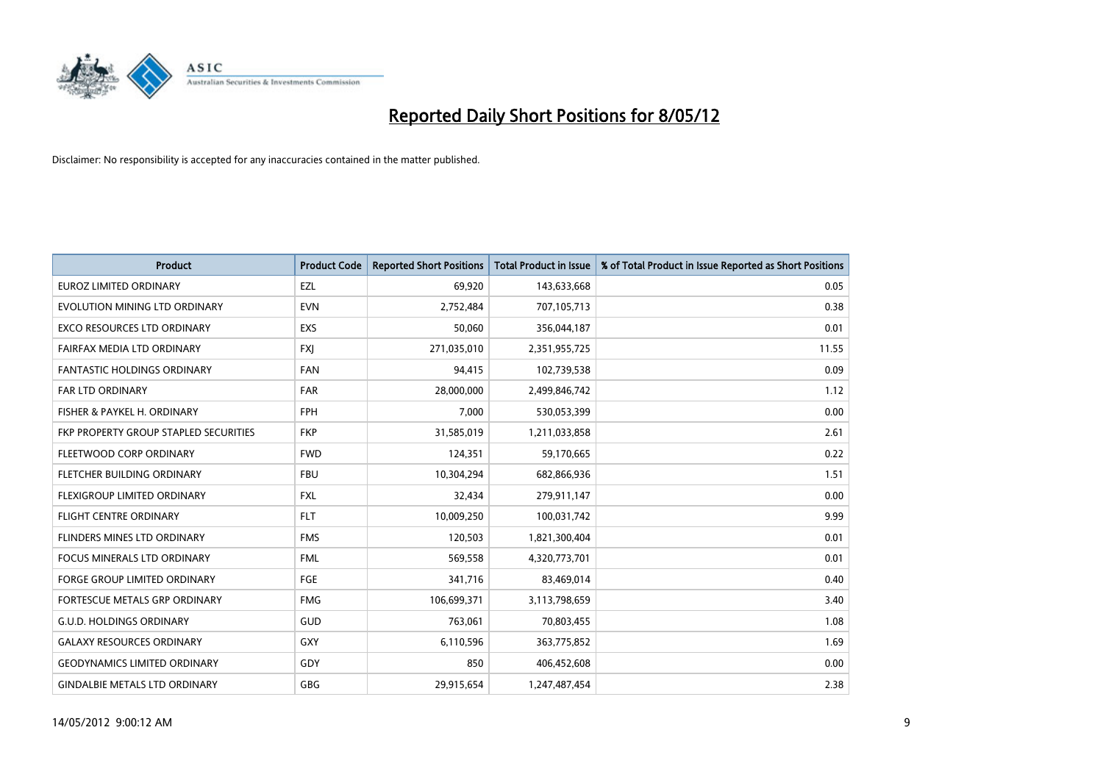

| <b>Product</b>                        | <b>Product Code</b> | <b>Reported Short Positions</b> | <b>Total Product in Issue</b> | % of Total Product in Issue Reported as Short Positions |
|---------------------------------------|---------------------|---------------------------------|-------------------------------|---------------------------------------------------------|
| <b>EUROZ LIMITED ORDINARY</b>         | EZL                 | 69,920                          | 143,633,668                   | 0.05                                                    |
| EVOLUTION MINING LTD ORDINARY         | <b>EVN</b>          | 2,752,484                       | 707,105,713                   | 0.38                                                    |
| <b>EXCO RESOURCES LTD ORDINARY</b>    | <b>EXS</b>          | 50,060                          | 356,044,187                   | 0.01                                                    |
| FAIRFAX MEDIA LTD ORDINARY            | FXJ                 | 271,035,010                     | 2,351,955,725                 | 11.55                                                   |
| <b>FANTASTIC HOLDINGS ORDINARY</b>    | <b>FAN</b>          | 94,415                          | 102,739,538                   | 0.09                                                    |
| <b>FAR LTD ORDINARY</b>               | <b>FAR</b>          | 28,000,000                      | 2,499,846,742                 | 1.12                                                    |
| FISHER & PAYKEL H. ORDINARY           | <b>FPH</b>          | 7,000                           | 530,053,399                   | 0.00                                                    |
| FKP PROPERTY GROUP STAPLED SECURITIES | <b>FKP</b>          | 31,585,019                      | 1,211,033,858                 | 2.61                                                    |
| FLEETWOOD CORP ORDINARY               | <b>FWD</b>          | 124,351                         | 59,170,665                    | 0.22                                                    |
| FLETCHER BUILDING ORDINARY            | <b>FBU</b>          | 10,304,294                      | 682,866,936                   | 1.51                                                    |
| FLEXIGROUP LIMITED ORDINARY           | <b>FXL</b>          | 32,434                          | 279,911,147                   | 0.00                                                    |
| <b>FLIGHT CENTRE ORDINARY</b>         | <b>FLT</b>          | 10,009,250                      | 100,031,742                   | 9.99                                                    |
| FLINDERS MINES LTD ORDINARY           | <b>FMS</b>          | 120,503                         | 1,821,300,404                 | 0.01                                                    |
| <b>FOCUS MINERALS LTD ORDINARY</b>    | <b>FML</b>          | 569,558                         | 4,320,773,701                 | 0.01                                                    |
| <b>FORGE GROUP LIMITED ORDINARY</b>   | FGE                 | 341,716                         | 83,469,014                    | 0.40                                                    |
| FORTESCUE METALS GRP ORDINARY         | <b>FMG</b>          | 106,699,371                     | 3,113,798,659                 | 3.40                                                    |
| <b>G.U.D. HOLDINGS ORDINARY</b>       | GUD                 | 763,061                         | 70,803,455                    | 1.08                                                    |
| <b>GALAXY RESOURCES ORDINARY</b>      | GXY                 | 6,110,596                       | 363,775,852                   | 1.69                                                    |
| <b>GEODYNAMICS LIMITED ORDINARY</b>   | GDY                 | 850                             | 406,452,608                   | 0.00                                                    |
| <b>GINDALBIE METALS LTD ORDINARY</b>  | GBG                 | 29,915,654                      | 1,247,487,454                 | 2.38                                                    |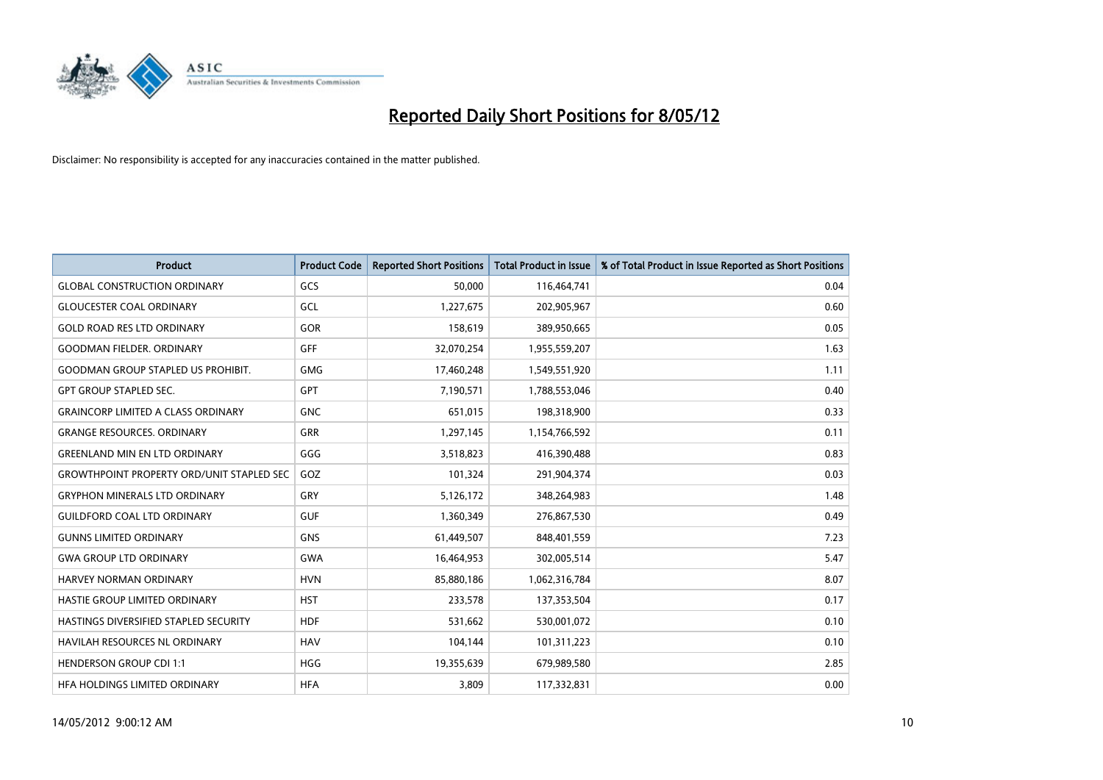

| <b>Product</b>                                   | <b>Product Code</b> | <b>Reported Short Positions</b> | <b>Total Product in Issue</b> | % of Total Product in Issue Reported as Short Positions |
|--------------------------------------------------|---------------------|---------------------------------|-------------------------------|---------------------------------------------------------|
| <b>GLOBAL CONSTRUCTION ORDINARY</b>              | GCS                 | 50,000                          | 116,464,741                   | 0.04                                                    |
| <b>GLOUCESTER COAL ORDINARY</b>                  | GCL                 | 1,227,675                       | 202,905,967                   | 0.60                                                    |
| <b>GOLD ROAD RES LTD ORDINARY</b>                | <b>GOR</b>          | 158,619                         | 389,950,665                   | 0.05                                                    |
| <b>GOODMAN FIELDER, ORDINARY</b>                 | <b>GFF</b>          | 32,070,254                      | 1,955,559,207                 | 1.63                                                    |
| <b>GOODMAN GROUP STAPLED US PROHIBIT.</b>        | <b>GMG</b>          | 17,460,248                      | 1,549,551,920                 | 1.11                                                    |
| <b>GPT GROUP STAPLED SEC.</b>                    | GPT                 | 7,190,571                       | 1,788,553,046                 | 0.40                                                    |
| <b>GRAINCORP LIMITED A CLASS ORDINARY</b>        | <b>GNC</b>          | 651,015                         | 198,318,900                   | 0.33                                                    |
| <b>GRANGE RESOURCES. ORDINARY</b>                | <b>GRR</b>          | 1,297,145                       | 1,154,766,592                 | 0.11                                                    |
| <b>GREENLAND MIN EN LTD ORDINARY</b>             | GGG                 | 3,518,823                       | 416,390,488                   | 0.83                                                    |
| <b>GROWTHPOINT PROPERTY ORD/UNIT STAPLED SEC</b> | GOZ                 | 101,324                         | 291,904,374                   | 0.03                                                    |
| <b>GRYPHON MINERALS LTD ORDINARY</b>             | GRY                 | 5,126,172                       | 348,264,983                   | 1.48                                                    |
| <b>GUILDFORD COAL LTD ORDINARY</b>               | <b>GUF</b>          | 1,360,349                       | 276,867,530                   | 0.49                                                    |
| <b>GUNNS LIMITED ORDINARY</b>                    | <b>GNS</b>          | 61,449,507                      | 848,401,559                   | 7.23                                                    |
| <b>GWA GROUP LTD ORDINARY</b>                    | <b>GWA</b>          | 16,464,953                      | 302,005,514                   | 5.47                                                    |
| <b>HARVEY NORMAN ORDINARY</b>                    | <b>HVN</b>          | 85,880,186                      | 1,062,316,784                 | 8.07                                                    |
| HASTIE GROUP LIMITED ORDINARY                    | <b>HST</b>          | 233,578                         | 137,353,504                   | 0.17                                                    |
| HASTINGS DIVERSIFIED STAPLED SECURITY            | <b>HDF</b>          | 531,662                         | 530,001,072                   | 0.10                                                    |
| HAVILAH RESOURCES NL ORDINARY                    | <b>HAV</b>          | 104,144                         | 101,311,223                   | 0.10                                                    |
| <b>HENDERSON GROUP CDI 1:1</b>                   | <b>HGG</b>          | 19,355,639                      | 679,989,580                   | 2.85                                                    |
| HFA HOLDINGS LIMITED ORDINARY                    | <b>HFA</b>          | 3,809                           | 117,332,831                   | 0.00                                                    |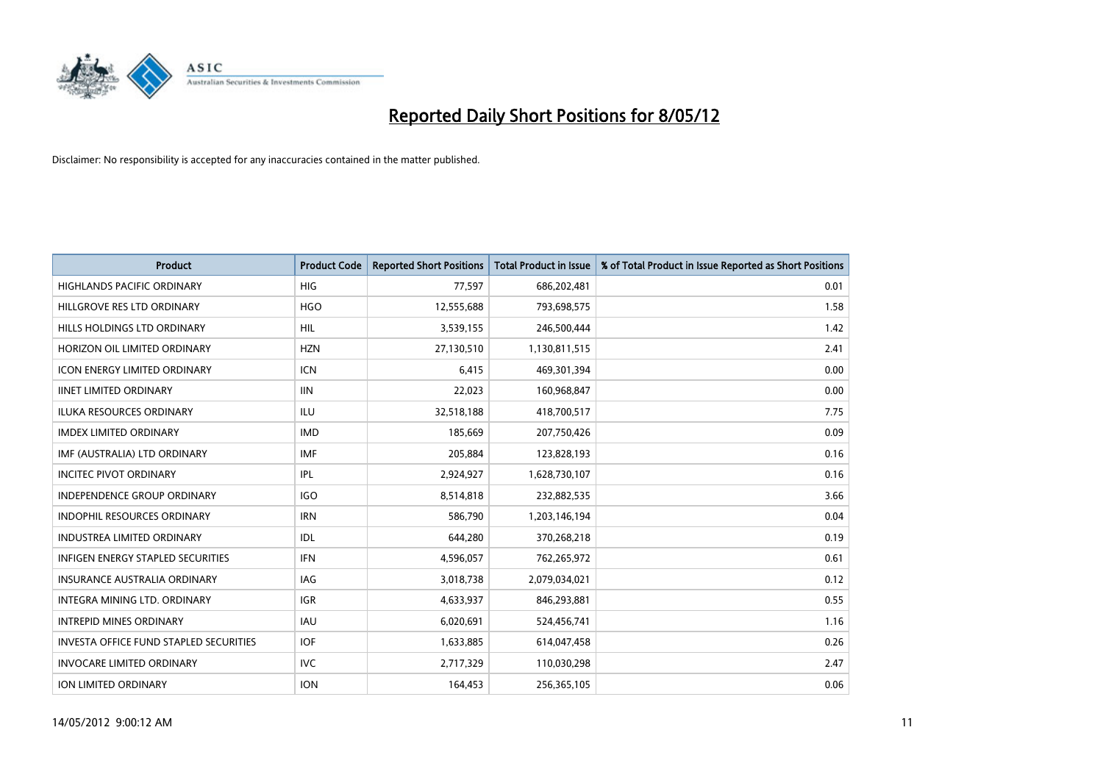

| <b>Product</b>                                | <b>Product Code</b> | <b>Reported Short Positions</b> | <b>Total Product in Issue</b> | % of Total Product in Issue Reported as Short Positions |
|-----------------------------------------------|---------------------|---------------------------------|-------------------------------|---------------------------------------------------------|
| <b>HIGHLANDS PACIFIC ORDINARY</b>             | <b>HIG</b>          | 77,597                          | 686,202,481                   | 0.01                                                    |
| HILLGROVE RES LTD ORDINARY                    | <b>HGO</b>          | 12,555,688                      | 793,698,575                   | 1.58                                                    |
| HILLS HOLDINGS LTD ORDINARY                   | <b>HIL</b>          | 3,539,155                       | 246,500,444                   | 1.42                                                    |
| HORIZON OIL LIMITED ORDINARY                  | <b>HZN</b>          | 27,130,510                      | 1,130,811,515                 | 2.41                                                    |
| <b>ICON ENERGY LIMITED ORDINARY</b>           | <b>ICN</b>          | 6,415                           | 469,301,394                   | 0.00                                                    |
| <b>IINET LIMITED ORDINARY</b>                 | <b>IIN</b>          | 22,023                          | 160,968,847                   | 0.00                                                    |
| <b>ILUKA RESOURCES ORDINARY</b>               | ILU                 | 32,518,188                      | 418,700,517                   | 7.75                                                    |
| <b>IMDEX LIMITED ORDINARY</b>                 | <b>IMD</b>          | 185,669                         | 207,750,426                   | 0.09                                                    |
| IMF (AUSTRALIA) LTD ORDINARY                  | <b>IMF</b>          | 205,884                         | 123,828,193                   | 0.16                                                    |
| <b>INCITEC PIVOT ORDINARY</b>                 | IPL                 | 2,924,927                       | 1,628,730,107                 | 0.16                                                    |
| INDEPENDENCE GROUP ORDINARY                   | <b>IGO</b>          | 8,514,818                       | 232,882,535                   | 3.66                                                    |
| <b>INDOPHIL RESOURCES ORDINARY</b>            | <b>IRN</b>          | 586,790                         | 1,203,146,194                 | 0.04                                                    |
| <b>INDUSTREA LIMITED ORDINARY</b>             | <b>IDL</b>          | 644,280                         | 370,268,218                   | 0.19                                                    |
| <b>INFIGEN ENERGY STAPLED SECURITIES</b>      | <b>IFN</b>          | 4,596,057                       | 762,265,972                   | 0.61                                                    |
| <b>INSURANCE AUSTRALIA ORDINARY</b>           | <b>IAG</b>          | 3,018,738                       | 2,079,034,021                 | 0.12                                                    |
| INTEGRA MINING LTD, ORDINARY                  | IGR                 | 4,633,937                       | 846,293,881                   | 0.55                                                    |
| <b>INTREPID MINES ORDINARY</b>                | <b>IAU</b>          | 6,020,691                       | 524,456,741                   | 1.16                                                    |
| <b>INVESTA OFFICE FUND STAPLED SECURITIES</b> | <b>IOF</b>          | 1,633,885                       | 614,047,458                   | 0.26                                                    |
| <b>INVOCARE LIMITED ORDINARY</b>              | <b>IVC</b>          | 2,717,329                       | 110,030,298                   | 2.47                                                    |
| ION LIMITED ORDINARY                          | <b>ION</b>          | 164,453                         | 256,365,105                   | 0.06                                                    |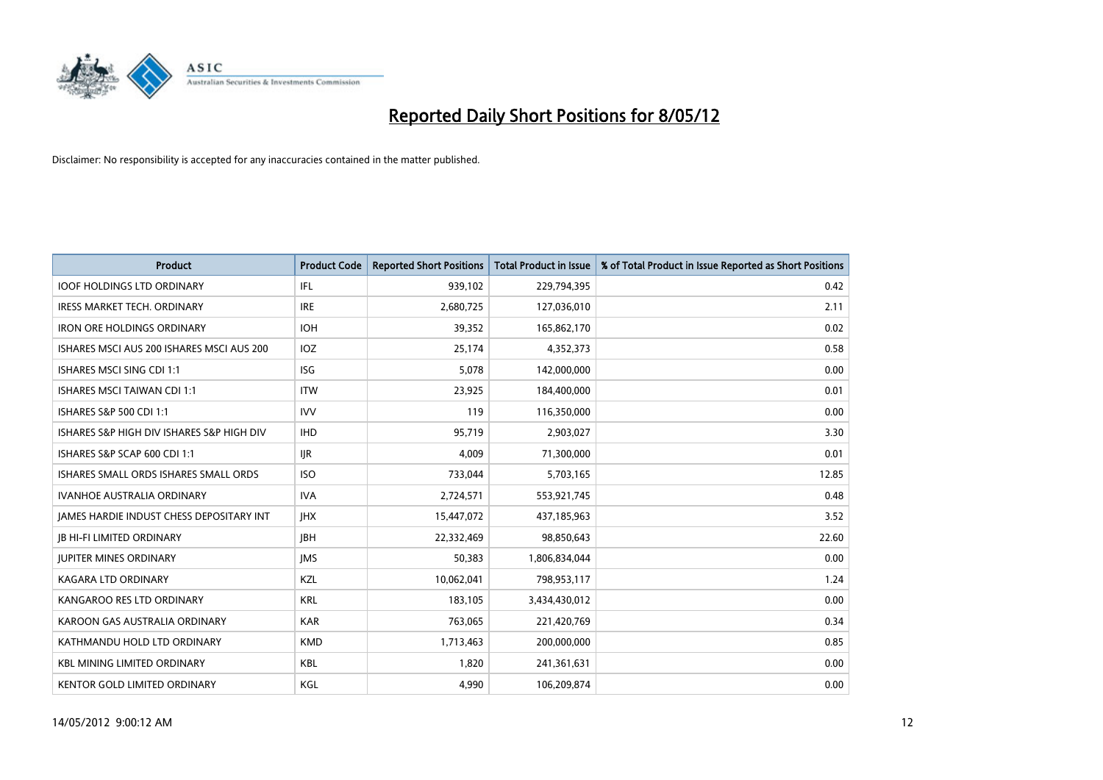

| <b>Product</b>                                  | <b>Product Code</b> | <b>Reported Short Positions</b> | <b>Total Product in Issue</b> | % of Total Product in Issue Reported as Short Positions |
|-------------------------------------------------|---------------------|---------------------------------|-------------------------------|---------------------------------------------------------|
| <b>IOOF HOLDINGS LTD ORDINARY</b>               | IFL                 | 939,102                         | 229,794,395                   | 0.42                                                    |
| IRESS MARKET TECH. ORDINARY                     | <b>IRE</b>          | 2,680,725                       | 127,036,010                   | 2.11                                                    |
| <b>IRON ORE HOLDINGS ORDINARY</b>               | <b>IOH</b>          | 39,352                          | 165,862,170                   | 0.02                                                    |
| ISHARES MSCI AUS 200 ISHARES MSCI AUS 200       | IOZ.                | 25,174                          | 4,352,373                     | 0.58                                                    |
| <b>ISHARES MSCI SING CDI 1:1</b>                | ISG                 | 5,078                           | 142,000,000                   | 0.00                                                    |
| <b>ISHARES MSCI TAIWAN CDI 1:1</b>              | <b>ITW</b>          | 23,925                          | 184,400,000                   | 0.01                                                    |
| ISHARES S&P 500 CDI 1:1                         | <b>IVV</b>          | 119                             | 116,350,000                   | 0.00                                                    |
| ISHARES S&P HIGH DIV ISHARES S&P HIGH DIV       | <b>IHD</b>          | 95,719                          | 2,903,027                     | 3.30                                                    |
| ISHARES S&P SCAP 600 CDI 1:1                    | <b>IJR</b>          | 4.009                           | 71,300,000                    | 0.01                                                    |
| ISHARES SMALL ORDS ISHARES SMALL ORDS           | <b>ISO</b>          | 733,044                         | 5,703,165                     | 12.85                                                   |
| <b>IVANHOE AUSTRALIA ORDINARY</b>               | <b>IVA</b>          | 2,724,571                       | 553,921,745                   | 0.48                                                    |
| <b>JAMES HARDIE INDUST CHESS DEPOSITARY INT</b> | <b>IHX</b>          | 15,447,072                      | 437,185,963                   | 3.52                                                    |
| <b>JB HI-FI LIMITED ORDINARY</b>                | <b>IBH</b>          | 22,332,469                      | 98,850,643                    | 22.60                                                   |
| <b>JUPITER MINES ORDINARY</b>                   | <b>IMS</b>          | 50,383                          | 1,806,834,044                 | 0.00                                                    |
| <b>KAGARA LTD ORDINARY</b>                      | <b>KZL</b>          | 10,062,041                      | 798,953,117                   | 1.24                                                    |
| KANGAROO RES LTD ORDINARY                       | <b>KRL</b>          | 183,105                         | 3,434,430,012                 | 0.00                                                    |
| KAROON GAS AUSTRALIA ORDINARY                   | <b>KAR</b>          | 763,065                         | 221,420,769                   | 0.34                                                    |
| KATHMANDU HOLD LTD ORDINARY                     | <b>KMD</b>          | 1,713,463                       | 200,000,000                   | 0.85                                                    |
| <b>KBL MINING LIMITED ORDINARY</b>              | <b>KBL</b>          | 1,820                           | 241,361,631                   | 0.00                                                    |
| KENTOR GOLD LIMITED ORDINARY                    | KGL                 | 4,990                           | 106,209,874                   | 0.00                                                    |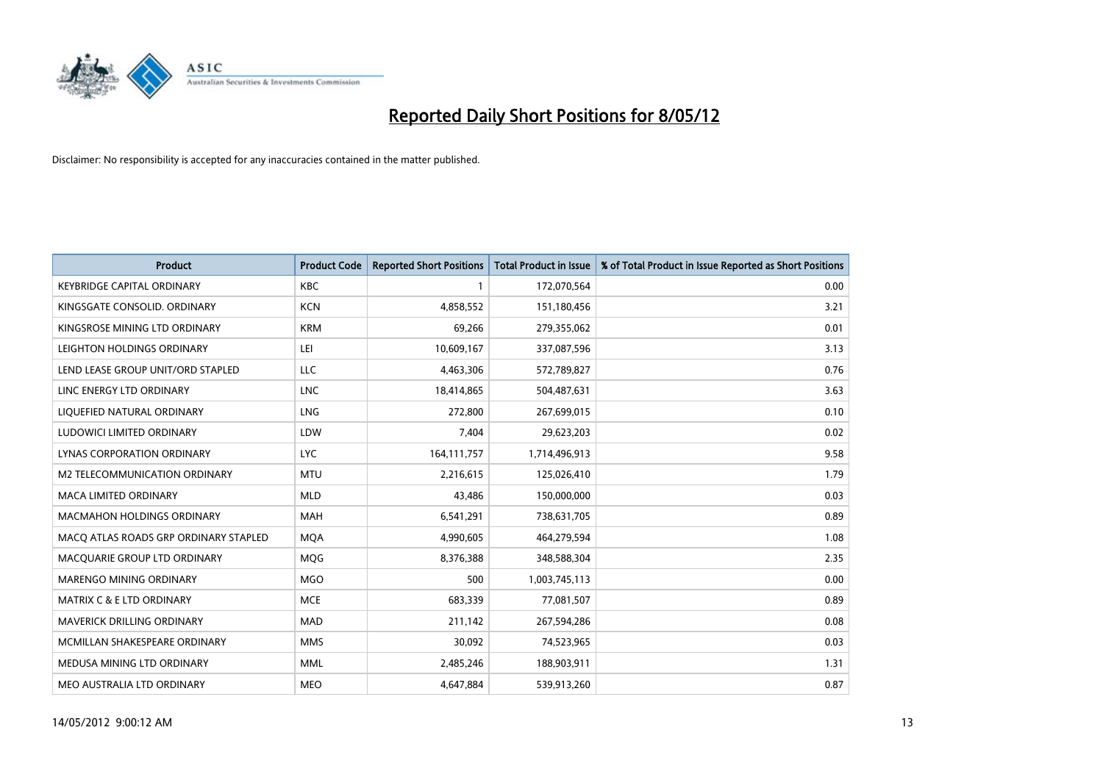

| <b>Product</b>                        | <b>Product Code</b> | <b>Reported Short Positions</b> | <b>Total Product in Issue</b> | % of Total Product in Issue Reported as Short Positions |
|---------------------------------------|---------------------|---------------------------------|-------------------------------|---------------------------------------------------------|
| <b>KEYBRIDGE CAPITAL ORDINARY</b>     | <b>KBC</b>          | 1                               | 172,070,564                   | 0.00                                                    |
| KINGSGATE CONSOLID. ORDINARY          | <b>KCN</b>          | 4,858,552                       | 151,180,456                   | 3.21                                                    |
| KINGSROSE MINING LTD ORDINARY         | <b>KRM</b>          | 69,266                          | 279,355,062                   | 0.01                                                    |
| LEIGHTON HOLDINGS ORDINARY            | LEI                 | 10,609,167                      | 337,087,596                   | 3.13                                                    |
| LEND LEASE GROUP UNIT/ORD STAPLED     | LLC                 | 4,463,306                       | 572,789,827                   | 0.76                                                    |
| LINC ENERGY LTD ORDINARY              | <b>LNC</b>          | 18,414,865                      | 504,487,631                   | 3.63                                                    |
| LIQUEFIED NATURAL ORDINARY            | <b>LNG</b>          | 272,800                         | 267,699,015                   | 0.10                                                    |
| LUDOWICI LIMITED ORDINARY             | LDW                 | 7,404                           | 29,623,203                    | 0.02                                                    |
| LYNAS CORPORATION ORDINARY            | <b>LYC</b>          | 164, 111, 757                   | 1,714,496,913                 | 9.58                                                    |
| <b>M2 TELECOMMUNICATION ORDINARY</b>  | <b>MTU</b>          | 2,216,615                       | 125,026,410                   | 1.79                                                    |
| <b>MACA LIMITED ORDINARY</b>          | <b>MLD</b>          | 43,486                          | 150,000,000                   | 0.03                                                    |
| MACMAHON HOLDINGS ORDINARY            | MAH                 | 6,541,291                       | 738,631,705                   | 0.89                                                    |
| MACO ATLAS ROADS GRP ORDINARY STAPLED | <b>MQA</b>          | 4,990,605                       | 464,279,594                   | 1.08                                                    |
| MACQUARIE GROUP LTD ORDINARY          | <b>MQG</b>          | 8,376,388                       | 348,588,304                   | 2.35                                                    |
| MARENGO MINING ORDINARY               | <b>MGO</b>          | 500                             | 1,003,745,113                 | 0.00                                                    |
| <b>MATRIX C &amp; E LTD ORDINARY</b>  | <b>MCE</b>          | 683,339                         | 77,081,507                    | 0.89                                                    |
| MAVERICK DRILLING ORDINARY            | MAD                 | 211,142                         | 267,594,286                   | 0.08                                                    |
| MCMILLAN SHAKESPEARE ORDINARY         | <b>MMS</b>          | 30,092                          | 74,523,965                    | 0.03                                                    |
| MEDUSA MINING LTD ORDINARY            | <b>MML</b>          | 2,485,246                       | 188,903,911                   | 1.31                                                    |
| MEO AUSTRALIA LTD ORDINARY            | <b>MEO</b>          | 4,647,884                       | 539,913,260                   | 0.87                                                    |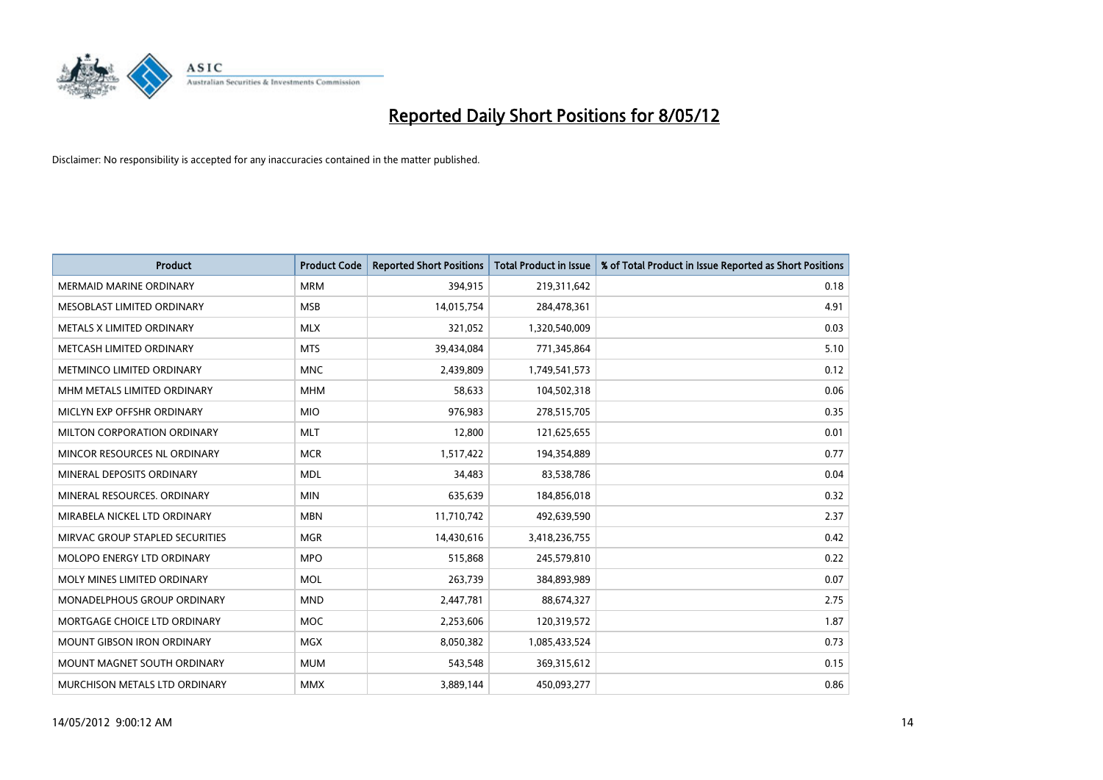

| <b>Product</b>                    | <b>Product Code</b> | <b>Reported Short Positions</b> | <b>Total Product in Issue</b> | % of Total Product in Issue Reported as Short Positions |
|-----------------------------------|---------------------|---------------------------------|-------------------------------|---------------------------------------------------------|
| <b>MERMAID MARINE ORDINARY</b>    | <b>MRM</b>          | 394,915                         | 219,311,642                   | 0.18                                                    |
| MESOBLAST LIMITED ORDINARY        | <b>MSB</b>          | 14,015,754                      | 284,478,361                   | 4.91                                                    |
| METALS X LIMITED ORDINARY         | <b>MLX</b>          | 321,052                         | 1,320,540,009                 | 0.03                                                    |
| METCASH LIMITED ORDINARY          | <b>MTS</b>          | 39,434,084                      | 771,345,864                   | 5.10                                                    |
| METMINCO LIMITED ORDINARY         | <b>MNC</b>          | 2,439,809                       | 1,749,541,573                 | 0.12                                                    |
| MHM METALS LIMITED ORDINARY       | <b>MHM</b>          | 58,633                          | 104,502,318                   | 0.06                                                    |
| MICLYN EXP OFFSHR ORDINARY        | <b>MIO</b>          | 976,983                         | 278,515,705                   | 0.35                                                    |
| MILTON CORPORATION ORDINARY       | <b>MLT</b>          | 12,800                          | 121,625,655                   | 0.01                                                    |
| MINCOR RESOURCES NL ORDINARY      | <b>MCR</b>          | 1,517,422                       | 194,354,889                   | 0.77                                                    |
| MINERAL DEPOSITS ORDINARY         | <b>MDL</b>          | 34,483                          | 83,538,786                    | 0.04                                                    |
| MINERAL RESOURCES. ORDINARY       | <b>MIN</b>          | 635,639                         | 184,856,018                   | 0.32                                                    |
| MIRABELA NICKEL LTD ORDINARY      | <b>MBN</b>          | 11,710,742                      | 492,639,590                   | 2.37                                                    |
| MIRVAC GROUP STAPLED SECURITIES   | <b>MGR</b>          | 14,430,616                      | 3,418,236,755                 | 0.42                                                    |
| MOLOPO ENERGY LTD ORDINARY        | <b>MPO</b>          | 515,868                         | 245,579,810                   | 0.22                                                    |
| MOLY MINES LIMITED ORDINARY       | <b>MOL</b>          | 263,739                         | 384,893,989                   | 0.07                                                    |
| MONADELPHOUS GROUP ORDINARY       | <b>MND</b>          | 2,447,781                       | 88,674,327                    | 2.75                                                    |
| MORTGAGE CHOICE LTD ORDINARY      | <b>MOC</b>          | 2,253,606                       | 120,319,572                   | 1.87                                                    |
| <b>MOUNT GIBSON IRON ORDINARY</b> | <b>MGX</b>          | 8,050,382                       | 1,085,433,524                 | 0.73                                                    |
| MOUNT MAGNET SOUTH ORDINARY       | <b>MUM</b>          | 543,548                         | 369,315,612                   | 0.15                                                    |
| MURCHISON METALS LTD ORDINARY     | <b>MMX</b>          | 3,889,144                       | 450,093,277                   | 0.86                                                    |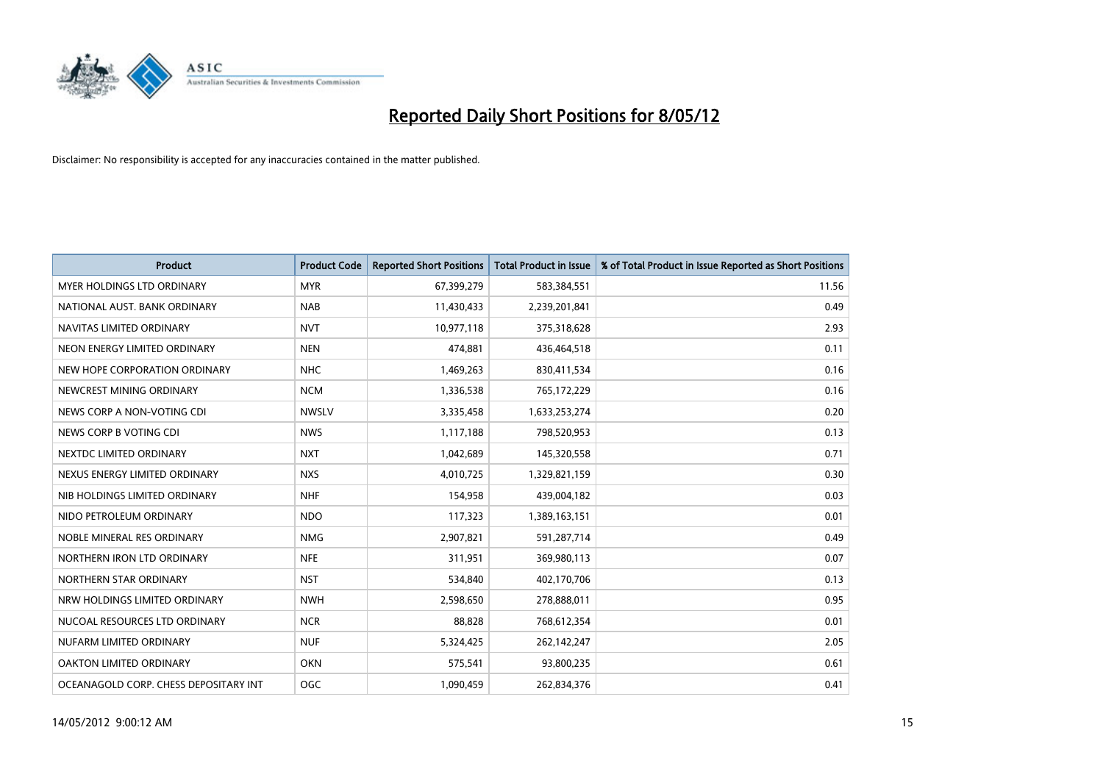

| <b>Product</b>                        | <b>Product Code</b> | <b>Reported Short Positions</b> | <b>Total Product in Issue</b> | % of Total Product in Issue Reported as Short Positions |
|---------------------------------------|---------------------|---------------------------------|-------------------------------|---------------------------------------------------------|
| MYER HOLDINGS LTD ORDINARY            | <b>MYR</b>          | 67,399,279                      | 583,384,551                   | 11.56                                                   |
| NATIONAL AUST, BANK ORDINARY          | <b>NAB</b>          | 11,430,433                      | 2,239,201,841                 | 0.49                                                    |
| NAVITAS LIMITED ORDINARY              | <b>NVT</b>          | 10,977,118                      | 375,318,628                   | 2.93                                                    |
| NEON ENERGY LIMITED ORDINARY          | <b>NEN</b>          | 474,881                         | 436,464,518                   | 0.11                                                    |
| NEW HOPE CORPORATION ORDINARY         | <b>NHC</b>          | 1,469,263                       | 830,411,534                   | 0.16                                                    |
| NEWCREST MINING ORDINARY              | <b>NCM</b>          | 1,336,538                       | 765,172,229                   | 0.16                                                    |
| NEWS CORP A NON-VOTING CDI            | <b>NWSLV</b>        | 3,335,458                       | 1,633,253,274                 | 0.20                                                    |
| NEWS CORP B VOTING CDI                | <b>NWS</b>          | 1,117,188                       | 798,520,953                   | 0.13                                                    |
| NEXTDC LIMITED ORDINARY               | <b>NXT</b>          | 1,042,689                       | 145,320,558                   | 0.71                                                    |
| NEXUS ENERGY LIMITED ORDINARY         | <b>NXS</b>          | 4,010,725                       | 1,329,821,159                 | 0.30                                                    |
| NIB HOLDINGS LIMITED ORDINARY         | <b>NHF</b>          | 154,958                         | 439,004,182                   | 0.03                                                    |
| NIDO PETROLEUM ORDINARY               | <b>NDO</b>          | 117,323                         | 1,389,163,151                 | 0.01                                                    |
| NOBLE MINERAL RES ORDINARY            | <b>NMG</b>          | 2,907,821                       | 591,287,714                   | 0.49                                                    |
| NORTHERN IRON LTD ORDINARY            | <b>NFE</b>          | 311,951                         | 369,980,113                   | 0.07                                                    |
| NORTHERN STAR ORDINARY                | <b>NST</b>          | 534,840                         | 402,170,706                   | 0.13                                                    |
| NRW HOLDINGS LIMITED ORDINARY         | <b>NWH</b>          | 2,598,650                       | 278,888,011                   | 0.95                                                    |
| NUCOAL RESOURCES LTD ORDINARY         | <b>NCR</b>          | 88,828                          | 768,612,354                   | 0.01                                                    |
| NUFARM LIMITED ORDINARY               | <b>NUF</b>          | 5,324,425                       | 262,142,247                   | 2.05                                                    |
| OAKTON LIMITED ORDINARY               | <b>OKN</b>          | 575,541                         | 93,800,235                    | 0.61                                                    |
| OCEANAGOLD CORP. CHESS DEPOSITARY INT | OGC                 | 1,090,459                       | 262,834,376                   | 0.41                                                    |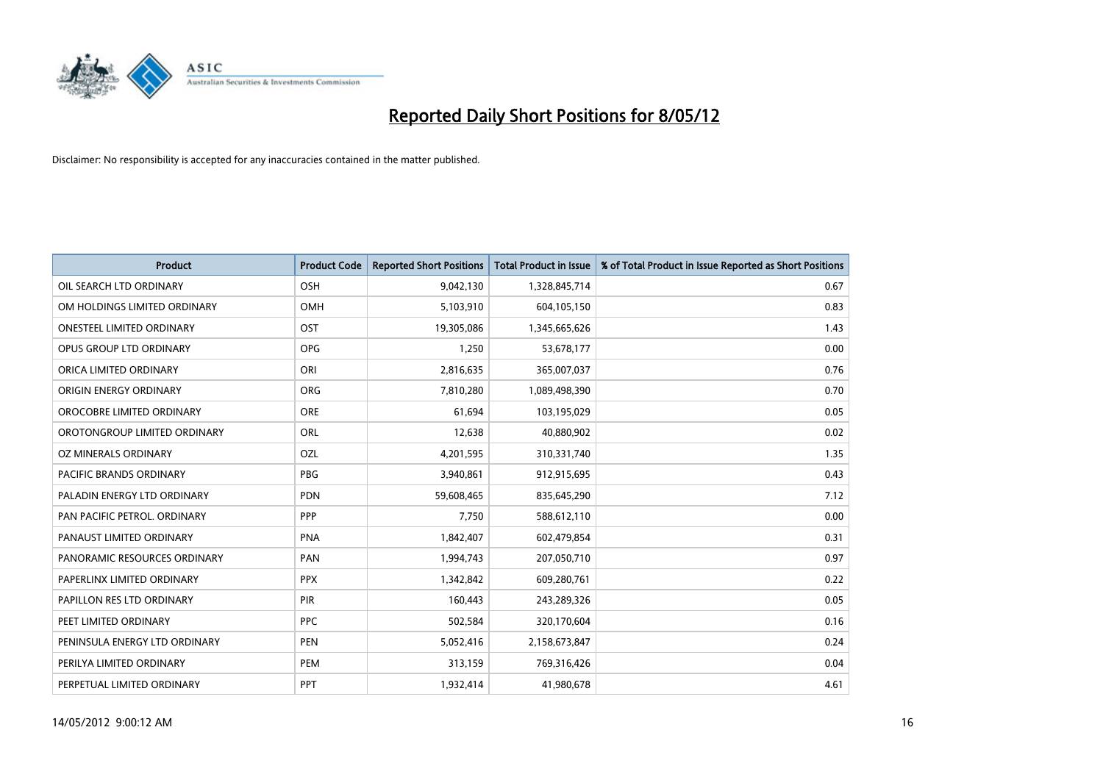

| <b>Product</b>                   | <b>Product Code</b> | <b>Reported Short Positions</b> | <b>Total Product in Issue</b> | % of Total Product in Issue Reported as Short Positions |
|----------------------------------|---------------------|---------------------------------|-------------------------------|---------------------------------------------------------|
| OIL SEARCH LTD ORDINARY          | OSH                 | 9,042,130                       | 1,328,845,714                 | 0.67                                                    |
| OM HOLDINGS LIMITED ORDINARY     | OMH                 | 5,103,910                       | 604,105,150                   | 0.83                                                    |
| <b>ONESTEEL LIMITED ORDINARY</b> | OST                 | 19,305,086                      | 1,345,665,626                 | 1.43                                                    |
| OPUS GROUP LTD ORDINARY          | <b>OPG</b>          | 1,250                           | 53,678,177                    | 0.00                                                    |
| ORICA LIMITED ORDINARY           | ORI                 | 2,816,635                       | 365,007,037                   | 0.76                                                    |
| ORIGIN ENERGY ORDINARY           | <b>ORG</b>          | 7,810,280                       | 1,089,498,390                 | 0.70                                                    |
| OROCOBRE LIMITED ORDINARY        | <b>ORE</b>          | 61,694                          | 103,195,029                   | 0.05                                                    |
| OROTONGROUP LIMITED ORDINARY     | ORL                 | 12,638                          | 40,880,902                    | 0.02                                                    |
| <b>OZ MINERALS ORDINARY</b>      | OZL                 | 4,201,595                       | 310,331,740                   | 1.35                                                    |
| <b>PACIFIC BRANDS ORDINARY</b>   | <b>PBG</b>          | 3,940,861                       | 912,915,695                   | 0.43                                                    |
| PALADIN ENERGY LTD ORDINARY      | PDN                 | 59,608,465                      | 835,645,290                   | 7.12                                                    |
| PAN PACIFIC PETROL. ORDINARY     | <b>PPP</b>          | 7,750                           | 588,612,110                   | 0.00                                                    |
| PANAUST LIMITED ORDINARY         | <b>PNA</b>          | 1,842,407                       | 602,479,854                   | 0.31                                                    |
| PANORAMIC RESOURCES ORDINARY     | PAN                 | 1,994,743                       | 207,050,710                   | 0.97                                                    |
| PAPERLINX LIMITED ORDINARY       | <b>PPX</b>          | 1,342,842                       | 609,280,761                   | 0.22                                                    |
| PAPILLON RES LTD ORDINARY        | PIR                 | 160,443                         | 243,289,326                   | 0.05                                                    |
| PEET LIMITED ORDINARY            | <b>PPC</b>          | 502,584                         | 320,170,604                   | 0.16                                                    |
| PENINSULA ENERGY LTD ORDINARY    | <b>PEN</b>          | 5,052,416                       | 2,158,673,847                 | 0.24                                                    |
| PERILYA LIMITED ORDINARY         | PEM                 | 313,159                         | 769,316,426                   | 0.04                                                    |
| PERPETUAL LIMITED ORDINARY       | PPT                 | 1,932,414                       | 41,980,678                    | 4.61                                                    |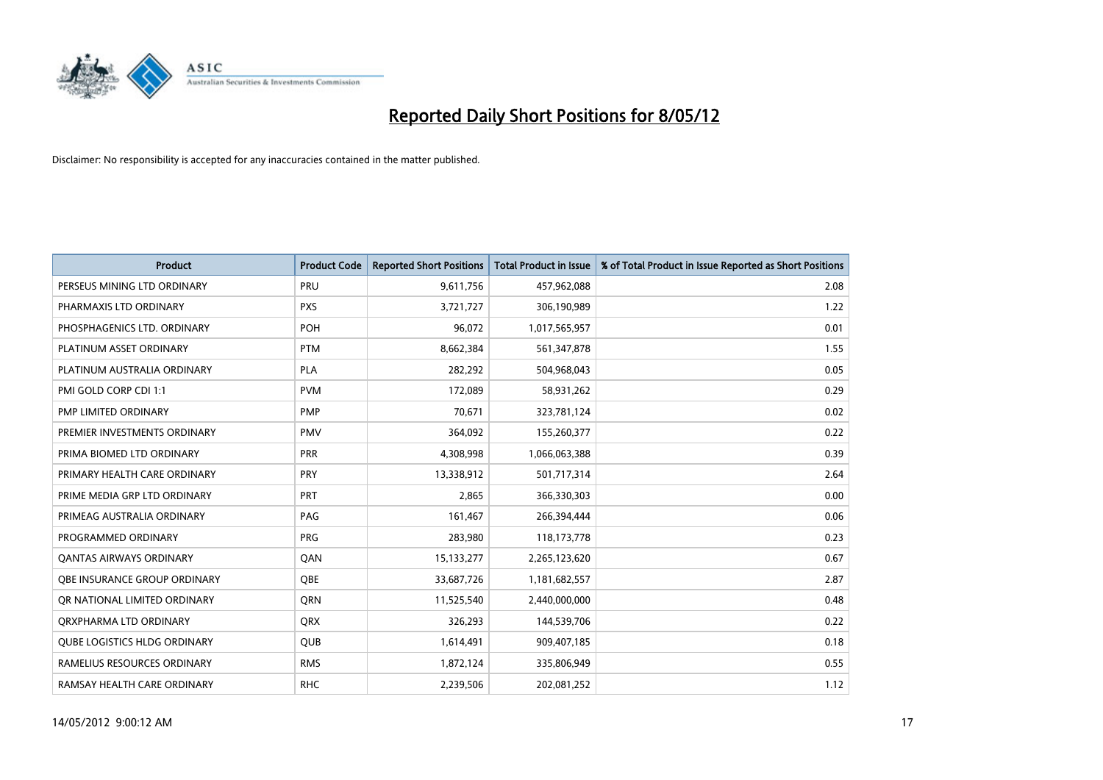

| <b>Product</b>                      | <b>Product Code</b> | <b>Reported Short Positions</b> | <b>Total Product in Issue</b> | % of Total Product in Issue Reported as Short Positions |
|-------------------------------------|---------------------|---------------------------------|-------------------------------|---------------------------------------------------------|
| PERSEUS MINING LTD ORDINARY         | PRU                 | 9,611,756                       | 457,962,088                   | 2.08                                                    |
| PHARMAXIS LTD ORDINARY              | <b>PXS</b>          | 3,721,727                       | 306,190,989                   | 1.22                                                    |
| PHOSPHAGENICS LTD. ORDINARY         | POH                 | 96,072                          | 1,017,565,957                 | 0.01                                                    |
| PLATINUM ASSET ORDINARY             | <b>PTM</b>          | 8,662,384                       | 561,347,878                   | 1.55                                                    |
| PLATINUM AUSTRALIA ORDINARY         | <b>PLA</b>          | 282,292                         | 504,968,043                   | 0.05                                                    |
| PMI GOLD CORP CDI 1:1               | <b>PVM</b>          | 172,089                         | 58,931,262                    | 0.29                                                    |
| PMP LIMITED ORDINARY                | <b>PMP</b>          | 70,671                          | 323,781,124                   | 0.02                                                    |
| PREMIER INVESTMENTS ORDINARY        | <b>PMV</b>          | 364,092                         | 155,260,377                   | 0.22                                                    |
| PRIMA BIOMED LTD ORDINARY           | <b>PRR</b>          | 4,308,998                       | 1,066,063,388                 | 0.39                                                    |
| PRIMARY HEALTH CARE ORDINARY        | <b>PRY</b>          | 13,338,912                      | 501,717,314                   | 2.64                                                    |
| PRIME MEDIA GRP LTD ORDINARY        | <b>PRT</b>          | 2,865                           | 366,330,303                   | 0.00                                                    |
| PRIMEAG AUSTRALIA ORDINARY          | PAG                 | 161,467                         | 266,394,444                   | 0.06                                                    |
| PROGRAMMED ORDINARY                 | <b>PRG</b>          | 283,980                         | 118, 173, 778                 | 0.23                                                    |
| <b>QANTAS AIRWAYS ORDINARY</b>      | QAN                 | 15,133,277                      | 2,265,123,620                 | 0.67                                                    |
| OBE INSURANCE GROUP ORDINARY        | <b>OBE</b>          | 33,687,726                      | 1,181,682,557                 | 2.87                                                    |
| OR NATIONAL LIMITED ORDINARY        | QRN                 | 11,525,540                      | 2,440,000,000                 | 0.48                                                    |
| ORXPHARMA LTD ORDINARY              | <b>QRX</b>          | 326,293                         | 144,539,706                   | 0.22                                                    |
| <b>QUBE LOGISTICS HLDG ORDINARY</b> | QUB                 | 1,614,491                       | 909,407,185                   | 0.18                                                    |
| RAMELIUS RESOURCES ORDINARY         | <b>RMS</b>          | 1,872,124                       | 335,806,949                   | 0.55                                                    |
| RAMSAY HEALTH CARE ORDINARY         | <b>RHC</b>          | 2,239,506                       | 202,081,252                   | 1.12                                                    |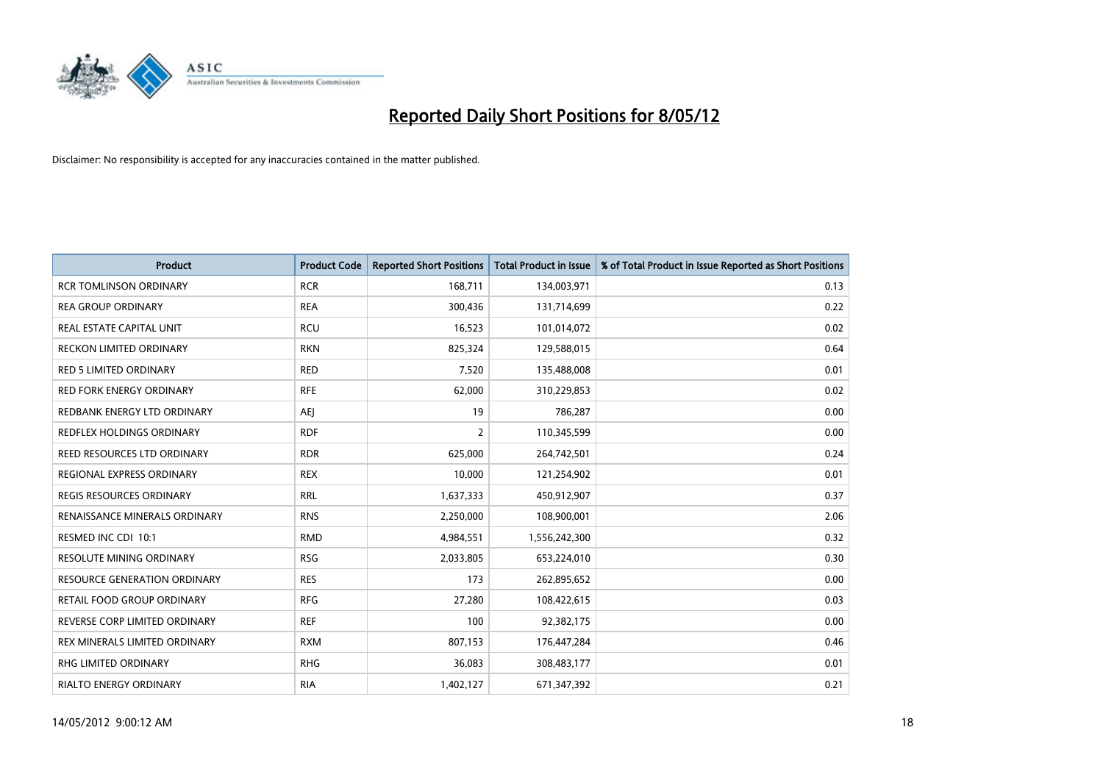

| <b>Product</b>                      | <b>Product Code</b> | <b>Reported Short Positions</b> | <b>Total Product in Issue</b> | % of Total Product in Issue Reported as Short Positions |
|-------------------------------------|---------------------|---------------------------------|-------------------------------|---------------------------------------------------------|
| <b>RCR TOMLINSON ORDINARY</b>       | <b>RCR</b>          | 168,711                         | 134,003,971                   | 0.13                                                    |
| <b>REA GROUP ORDINARY</b>           | <b>REA</b>          | 300,436                         | 131,714,699                   | 0.22                                                    |
| REAL ESTATE CAPITAL UNIT            | <b>RCU</b>          | 16,523                          | 101,014,072                   | 0.02                                                    |
| RECKON LIMITED ORDINARY             | <b>RKN</b>          | 825,324                         | 129,588,015                   | 0.64                                                    |
| <b>RED 5 LIMITED ORDINARY</b>       | <b>RED</b>          | 7,520                           | 135,488,008                   | 0.01                                                    |
| <b>RED FORK ENERGY ORDINARY</b>     | <b>RFE</b>          | 62,000                          | 310,229,853                   | 0.02                                                    |
| REDBANK ENERGY LTD ORDINARY         | AEJ                 | 19                              | 786,287                       | 0.00                                                    |
| REDFLEX HOLDINGS ORDINARY           | <b>RDF</b>          | $\overline{2}$                  | 110,345,599                   | 0.00                                                    |
| REED RESOURCES LTD ORDINARY         | <b>RDR</b>          | 625,000                         | 264,742,501                   | 0.24                                                    |
| <b>REGIONAL EXPRESS ORDINARY</b>    | <b>REX</b>          | 10,000                          | 121,254,902                   | 0.01                                                    |
| REGIS RESOURCES ORDINARY            | <b>RRL</b>          | 1,637,333                       | 450,912,907                   | 0.37                                                    |
| RENAISSANCE MINERALS ORDINARY       | <b>RNS</b>          | 2,250,000                       | 108,900,001                   | 2.06                                                    |
| RESMED INC CDI 10:1                 | <b>RMD</b>          | 4,984,551                       | 1,556,242,300                 | 0.32                                                    |
| RESOLUTE MINING ORDINARY            | <b>RSG</b>          | 2,033,805                       | 653,224,010                   | 0.30                                                    |
| <b>RESOURCE GENERATION ORDINARY</b> | <b>RES</b>          | 173                             | 262,895,652                   | 0.00                                                    |
| RETAIL FOOD GROUP ORDINARY          | <b>RFG</b>          | 27,280                          | 108,422,615                   | 0.03                                                    |
| REVERSE CORP LIMITED ORDINARY       | <b>REF</b>          | 100                             | 92,382,175                    | 0.00                                                    |
| REX MINERALS LIMITED ORDINARY       | <b>RXM</b>          | 807,153                         | 176,447,284                   | 0.46                                                    |
| <b>RHG LIMITED ORDINARY</b>         | <b>RHG</b>          | 36,083                          | 308,483,177                   | 0.01                                                    |
| RIALTO ENERGY ORDINARY              | <b>RIA</b>          | 1,402,127                       | 671,347,392                   | 0.21                                                    |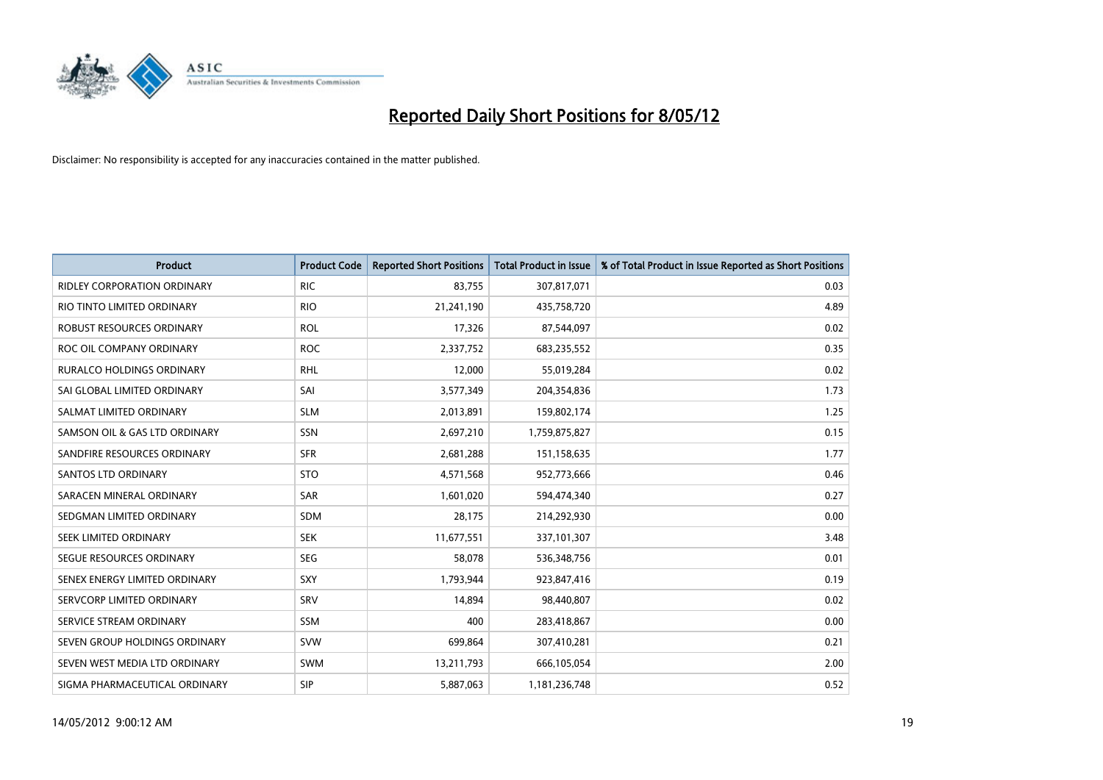

| <b>Product</b>                     | <b>Product Code</b> | <b>Reported Short Positions</b> | <b>Total Product in Issue</b> | % of Total Product in Issue Reported as Short Positions |
|------------------------------------|---------------------|---------------------------------|-------------------------------|---------------------------------------------------------|
| <b>RIDLEY CORPORATION ORDINARY</b> | <b>RIC</b>          | 83,755                          | 307,817,071                   | 0.03                                                    |
| RIO TINTO LIMITED ORDINARY         | <b>RIO</b>          | 21,241,190                      | 435,758,720                   | 4.89                                                    |
| ROBUST RESOURCES ORDINARY          | <b>ROL</b>          | 17,326                          | 87,544,097                    | 0.02                                                    |
| ROC OIL COMPANY ORDINARY           | <b>ROC</b>          | 2,337,752                       | 683,235,552                   | 0.35                                                    |
| <b>RURALCO HOLDINGS ORDINARY</b>   | <b>RHL</b>          | 12,000                          | 55,019,284                    | 0.02                                                    |
| SAI GLOBAL LIMITED ORDINARY        | SAI                 | 3,577,349                       | 204,354,836                   | 1.73                                                    |
| SALMAT LIMITED ORDINARY            | <b>SLM</b>          | 2,013,891                       | 159,802,174                   | 1.25                                                    |
| SAMSON OIL & GAS LTD ORDINARY      | SSN                 | 2,697,210                       | 1,759,875,827                 | 0.15                                                    |
| SANDFIRE RESOURCES ORDINARY        | <b>SFR</b>          | 2,681,288                       | 151,158,635                   | 1.77                                                    |
| SANTOS LTD ORDINARY                | <b>STO</b>          | 4,571,568                       | 952,773,666                   | 0.46                                                    |
| SARACEN MINERAL ORDINARY           | SAR                 | 1,601,020                       | 594,474,340                   | 0.27                                                    |
| SEDGMAN LIMITED ORDINARY           | SDM                 | 28,175                          | 214,292,930                   | 0.00                                                    |
| SEEK LIMITED ORDINARY              | <b>SEK</b>          | 11,677,551                      | 337,101,307                   | 3.48                                                    |
| SEGUE RESOURCES ORDINARY           | <b>SEG</b>          | 58,078                          | 536,348,756                   | 0.01                                                    |
| SENEX ENERGY LIMITED ORDINARY      | SXY                 | 1,793,944                       | 923,847,416                   | 0.19                                                    |
| SERVCORP LIMITED ORDINARY          | SRV                 | 14,894                          | 98,440,807                    | 0.02                                                    |
| SERVICE STREAM ORDINARY            | <b>SSM</b>          | 400                             | 283,418,867                   | 0.00                                                    |
| SEVEN GROUP HOLDINGS ORDINARY      | <b>SVW</b>          | 699,864                         | 307,410,281                   | 0.21                                                    |
| SEVEN WEST MEDIA LTD ORDINARY      | <b>SWM</b>          | 13,211,793                      | 666,105,054                   | 2.00                                                    |
| SIGMA PHARMACEUTICAL ORDINARY      | <b>SIP</b>          | 5,887,063                       | 1,181,236,748                 | 0.52                                                    |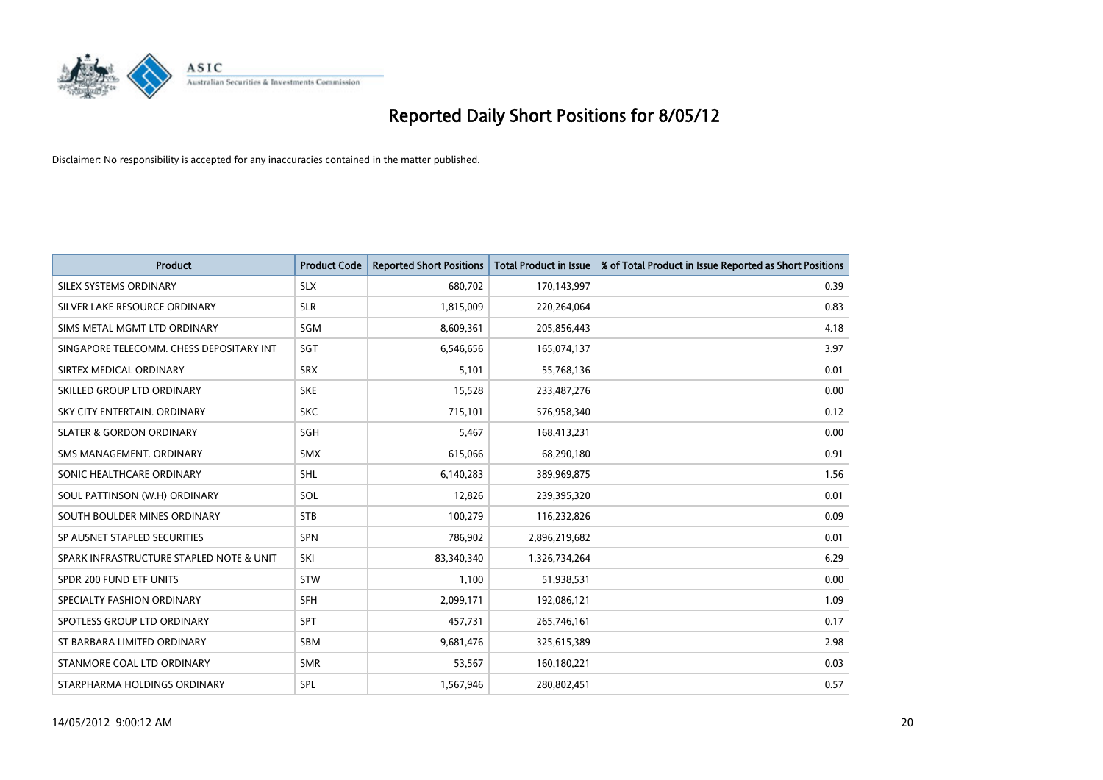

| <b>Product</b>                           | <b>Product Code</b> | <b>Reported Short Positions</b> | <b>Total Product in Issue</b> | % of Total Product in Issue Reported as Short Positions |
|------------------------------------------|---------------------|---------------------------------|-------------------------------|---------------------------------------------------------|
| SILEX SYSTEMS ORDINARY                   | <b>SLX</b>          | 680,702                         | 170,143,997                   | 0.39                                                    |
| SILVER LAKE RESOURCE ORDINARY            | <b>SLR</b>          | 1,815,009                       | 220,264,064                   | 0.83                                                    |
| SIMS METAL MGMT LTD ORDINARY             | <b>SGM</b>          | 8,609,361                       | 205,856,443                   | 4.18                                                    |
| SINGAPORE TELECOMM. CHESS DEPOSITARY INT | SGT                 | 6,546,656                       | 165,074,137                   | 3.97                                                    |
| SIRTEX MEDICAL ORDINARY                  | <b>SRX</b>          | 5,101                           | 55,768,136                    | 0.01                                                    |
| SKILLED GROUP LTD ORDINARY               | <b>SKE</b>          | 15,528                          | 233,487,276                   | 0.00                                                    |
| SKY CITY ENTERTAIN, ORDINARY             | <b>SKC</b>          | 715,101                         | 576,958,340                   | 0.12                                                    |
| <b>SLATER &amp; GORDON ORDINARY</b>      | SGH                 | 5,467                           | 168,413,231                   | 0.00                                                    |
| SMS MANAGEMENT. ORDINARY                 | <b>SMX</b>          | 615,066                         | 68,290,180                    | 0.91                                                    |
| SONIC HEALTHCARE ORDINARY                | SHL                 | 6,140,283                       | 389,969,875                   | 1.56                                                    |
| SOUL PATTINSON (W.H) ORDINARY            | <b>SOL</b>          | 12,826                          | 239,395,320                   | 0.01                                                    |
| SOUTH BOULDER MINES ORDINARY             | <b>STB</b>          | 100,279                         | 116,232,826                   | 0.09                                                    |
| SP AUSNET STAPLED SECURITIES             | <b>SPN</b>          | 786,902                         | 2,896,219,682                 | 0.01                                                    |
| SPARK INFRASTRUCTURE STAPLED NOTE & UNIT | SKI                 | 83,340,340                      | 1,326,734,264                 | 6.29                                                    |
| SPDR 200 FUND ETF UNITS                  | <b>STW</b>          | 1,100                           | 51,938,531                    | 0.00                                                    |
| SPECIALTY FASHION ORDINARY               | SFH                 | 2,099,171                       | 192,086,121                   | 1.09                                                    |
| SPOTLESS GROUP LTD ORDINARY              | <b>SPT</b>          | 457,731                         | 265,746,161                   | 0.17                                                    |
| ST BARBARA LIMITED ORDINARY              | <b>SBM</b>          | 9,681,476                       | 325,615,389                   | 2.98                                                    |
| STANMORE COAL LTD ORDINARY               | <b>SMR</b>          | 53,567                          | 160,180,221                   | 0.03                                                    |
| STARPHARMA HOLDINGS ORDINARY             | <b>SPL</b>          | 1,567,946                       | 280,802,451                   | 0.57                                                    |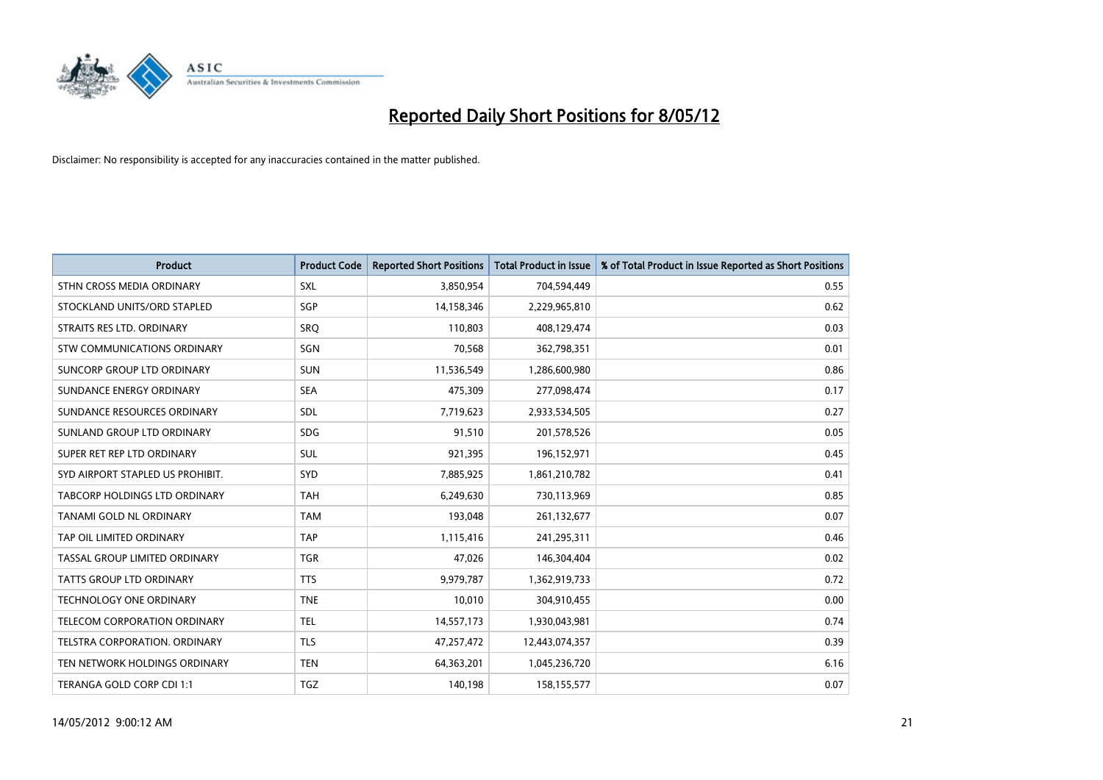

| <b>Product</b>                   | <b>Product Code</b> | <b>Reported Short Positions</b> | <b>Total Product in Issue</b> | % of Total Product in Issue Reported as Short Positions |
|----------------------------------|---------------------|---------------------------------|-------------------------------|---------------------------------------------------------|
| STHN CROSS MEDIA ORDINARY        | SXL                 | 3,850,954                       | 704,594,449                   | 0.55                                                    |
| STOCKLAND UNITS/ORD STAPLED      | SGP                 | 14,158,346                      | 2,229,965,810                 | 0.62                                                    |
| STRAITS RES LTD. ORDINARY        | SRQ                 | 110,803                         | 408,129,474                   | 0.03                                                    |
| STW COMMUNICATIONS ORDINARY      | <b>SGN</b>          | 70,568                          | 362,798,351                   | 0.01                                                    |
| SUNCORP GROUP LTD ORDINARY       | <b>SUN</b>          | 11,536,549                      | 1,286,600,980                 | 0.86                                                    |
| SUNDANCE ENERGY ORDINARY         | <b>SEA</b>          | 475,309                         | 277,098,474                   | 0.17                                                    |
| SUNDANCE RESOURCES ORDINARY      | <b>SDL</b>          | 7,719,623                       | 2,933,534,505                 | 0.27                                                    |
| SUNLAND GROUP LTD ORDINARY       | <b>SDG</b>          | 91,510                          | 201,578,526                   | 0.05                                                    |
| SUPER RET REP LTD ORDINARY       | SUL                 | 921,395                         | 196,152,971                   | 0.45                                                    |
| SYD AIRPORT STAPLED US PROHIBIT. | SYD                 | 7,885,925                       | 1,861,210,782                 | 0.41                                                    |
| TABCORP HOLDINGS LTD ORDINARY    | <b>TAH</b>          | 6,249,630                       | 730,113,969                   | 0.85                                                    |
| TANAMI GOLD NL ORDINARY          | <b>TAM</b>          | 193,048                         | 261,132,677                   | 0.07                                                    |
| TAP OIL LIMITED ORDINARY         | <b>TAP</b>          | 1,115,416                       | 241,295,311                   | 0.46                                                    |
| TASSAL GROUP LIMITED ORDINARY    | <b>TGR</b>          | 47,026                          | 146,304,404                   | 0.02                                                    |
| <b>TATTS GROUP LTD ORDINARY</b>  | <b>TTS</b>          | 9,979,787                       | 1,362,919,733                 | 0.72                                                    |
| <b>TECHNOLOGY ONE ORDINARY</b>   | <b>TNE</b>          | 10,010                          | 304,910,455                   | 0.00                                                    |
| TELECOM CORPORATION ORDINARY     | <b>TEL</b>          | 14,557,173                      | 1,930,043,981                 | 0.74                                                    |
| TELSTRA CORPORATION. ORDINARY    | <b>TLS</b>          | 47,257,472                      | 12,443,074,357                | 0.39                                                    |
| TEN NETWORK HOLDINGS ORDINARY    | <b>TEN</b>          | 64,363,201                      | 1,045,236,720                 | 6.16                                                    |
| TERANGA GOLD CORP CDI 1:1        | TGZ                 | 140,198                         | 158,155,577                   | 0.07                                                    |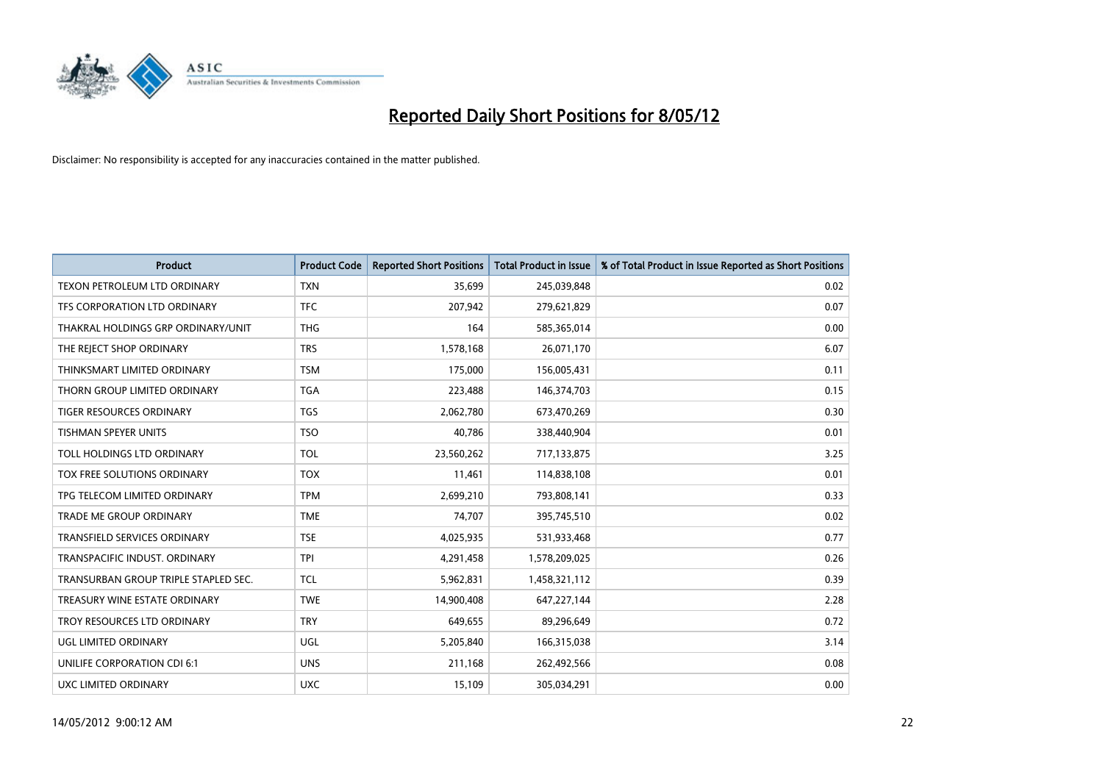

| <b>Product</b>                       | <b>Product Code</b> | <b>Reported Short Positions</b> | <b>Total Product in Issue</b> | % of Total Product in Issue Reported as Short Positions |
|--------------------------------------|---------------------|---------------------------------|-------------------------------|---------------------------------------------------------|
| TEXON PETROLEUM LTD ORDINARY         | <b>TXN</b>          | 35,699                          | 245,039,848                   | 0.02                                                    |
| TFS CORPORATION LTD ORDINARY         | <b>TFC</b>          | 207,942                         | 279,621,829                   | 0.07                                                    |
| THAKRAL HOLDINGS GRP ORDINARY/UNIT   | <b>THG</b>          | 164                             | 585,365,014                   | 0.00                                                    |
| THE REJECT SHOP ORDINARY             | <b>TRS</b>          | 1,578,168                       | 26,071,170                    | 6.07                                                    |
| THINKSMART LIMITED ORDINARY          | <b>TSM</b>          | 175,000                         | 156,005,431                   | 0.11                                                    |
| THORN GROUP LIMITED ORDINARY         | <b>TGA</b>          | 223,488                         | 146,374,703                   | 0.15                                                    |
| TIGER RESOURCES ORDINARY             | <b>TGS</b>          | 2,062,780                       | 673,470,269                   | 0.30                                                    |
| <b>TISHMAN SPEYER UNITS</b>          | <b>TSO</b>          | 40,786                          | 338,440,904                   | 0.01                                                    |
| TOLL HOLDINGS LTD ORDINARY           | <b>TOL</b>          | 23,560,262                      | 717,133,875                   | 3.25                                                    |
| TOX FREE SOLUTIONS ORDINARY          | <b>TOX</b>          | 11,461                          | 114,838,108                   | 0.01                                                    |
| TPG TELECOM LIMITED ORDINARY         | <b>TPM</b>          | 2,699,210                       | 793,808,141                   | 0.33                                                    |
| <b>TRADE ME GROUP ORDINARY</b>       | <b>TME</b>          | 74,707                          | 395,745,510                   | 0.02                                                    |
| TRANSFIELD SERVICES ORDINARY         | <b>TSE</b>          | 4,025,935                       | 531,933,468                   | 0.77                                                    |
| TRANSPACIFIC INDUST, ORDINARY        | <b>TPI</b>          | 4,291,458                       | 1,578,209,025                 | 0.26                                                    |
| TRANSURBAN GROUP TRIPLE STAPLED SEC. | <b>TCL</b>          | 5,962,831                       | 1,458,321,112                 | 0.39                                                    |
| TREASURY WINE ESTATE ORDINARY        | <b>TWE</b>          | 14,900,408                      | 647,227,144                   | 2.28                                                    |
| TROY RESOURCES LTD ORDINARY          | <b>TRY</b>          | 649,655                         | 89,296,649                    | 0.72                                                    |
| UGL LIMITED ORDINARY                 | UGL                 | 5,205,840                       | 166,315,038                   | 3.14                                                    |
| UNILIFE CORPORATION CDI 6:1          | <b>UNS</b>          | 211,168                         | 262,492,566                   | 0.08                                                    |
| UXC LIMITED ORDINARY                 | <b>UXC</b>          | 15,109                          | 305,034,291                   | 0.00                                                    |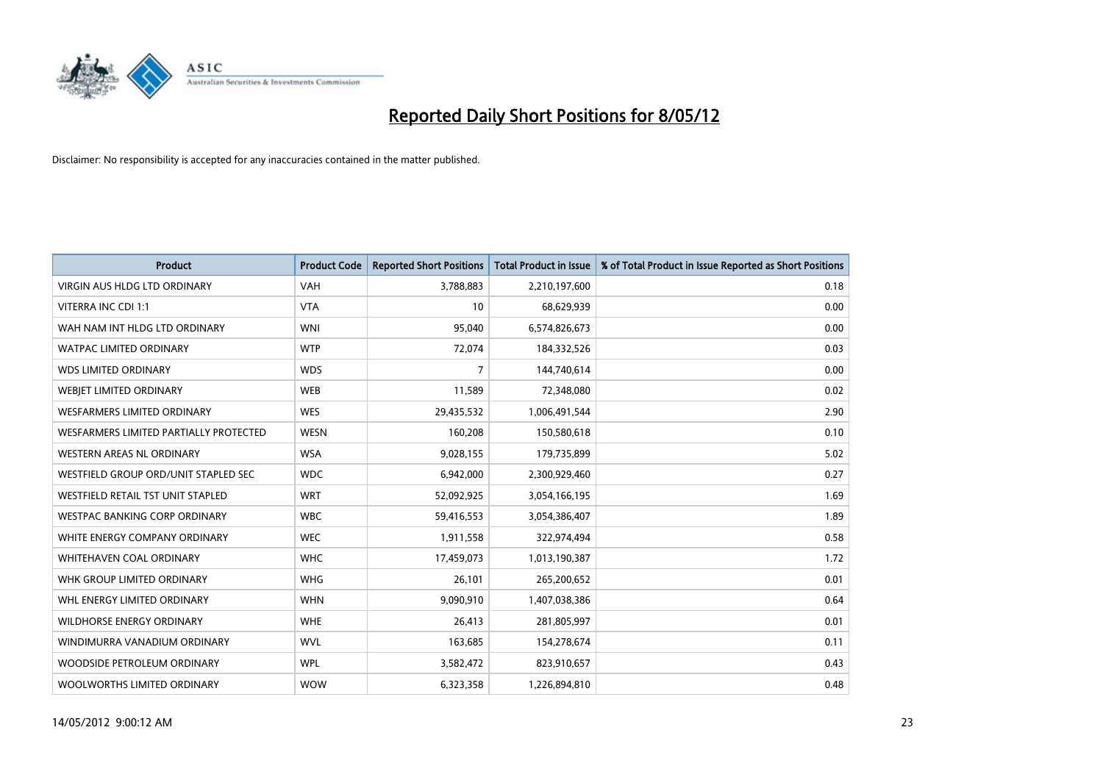

| <b>Product</b>                         | <b>Product Code</b> | <b>Reported Short Positions</b> | <b>Total Product in Issue</b> | % of Total Product in Issue Reported as Short Positions |
|----------------------------------------|---------------------|---------------------------------|-------------------------------|---------------------------------------------------------|
| <b>VIRGIN AUS HLDG LTD ORDINARY</b>    | <b>VAH</b>          | 3,788,883                       | 2,210,197,600                 | 0.18                                                    |
| VITERRA INC CDI 1:1                    | <b>VTA</b>          | 10                              | 68,629,939                    | 0.00                                                    |
| WAH NAM INT HLDG LTD ORDINARY          | <b>WNI</b>          | 95,040                          | 6,574,826,673                 | 0.00                                                    |
| <b>WATPAC LIMITED ORDINARY</b>         | <b>WTP</b>          | 72,074                          | 184,332,526                   | 0.03                                                    |
| <b>WDS LIMITED ORDINARY</b>            | <b>WDS</b>          | $\overline{7}$                  | 144,740,614                   | 0.00                                                    |
| WEBIET LIMITED ORDINARY                | <b>WEB</b>          | 11,589                          | 72,348,080                    | 0.02                                                    |
| <b>WESFARMERS LIMITED ORDINARY</b>     | <b>WES</b>          | 29,435,532                      | 1,006,491,544                 | 2.90                                                    |
| WESFARMERS LIMITED PARTIALLY PROTECTED | <b>WESN</b>         | 160,208                         | 150,580,618                   | 0.10                                                    |
| <b>WESTERN AREAS NL ORDINARY</b>       | <b>WSA</b>          | 9,028,155                       | 179,735,899                   | 5.02                                                    |
| WESTFIELD GROUP ORD/UNIT STAPLED SEC   | <b>WDC</b>          | 6,942,000                       | 2,300,929,460                 | 0.27                                                    |
| WESTFIELD RETAIL TST UNIT STAPLED      | <b>WRT</b>          | 52,092,925                      | 3,054,166,195                 | 1.69                                                    |
| <b>WESTPAC BANKING CORP ORDINARY</b>   | <b>WBC</b>          | 59,416,553                      | 3,054,386,407                 | 1.89                                                    |
| WHITE ENERGY COMPANY ORDINARY          | <b>WEC</b>          | 1,911,558                       | 322,974,494                   | 0.58                                                    |
| WHITEHAVEN COAL ORDINARY               | <b>WHC</b>          | 17,459,073                      | 1,013,190,387                 | 1.72                                                    |
| WHK GROUP LIMITED ORDINARY             | <b>WHG</b>          | 26,101                          | 265,200,652                   | 0.01                                                    |
| WHL ENERGY LIMITED ORDINARY            | <b>WHN</b>          | 9,090,910                       | 1,407,038,386                 | 0.64                                                    |
| WILDHORSE ENERGY ORDINARY              | <b>WHE</b>          | 26,413                          | 281,805,997                   | 0.01                                                    |
| WINDIMURRA VANADIUM ORDINARY           | <b>WVL</b>          | 163,685                         | 154,278,674                   | 0.11                                                    |
| WOODSIDE PETROLEUM ORDINARY            | <b>WPL</b>          | 3,582,472                       | 823,910,657                   | 0.43                                                    |
| WOOLWORTHS LIMITED ORDINARY            | <b>WOW</b>          | 6,323,358                       | 1,226,894,810                 | 0.48                                                    |